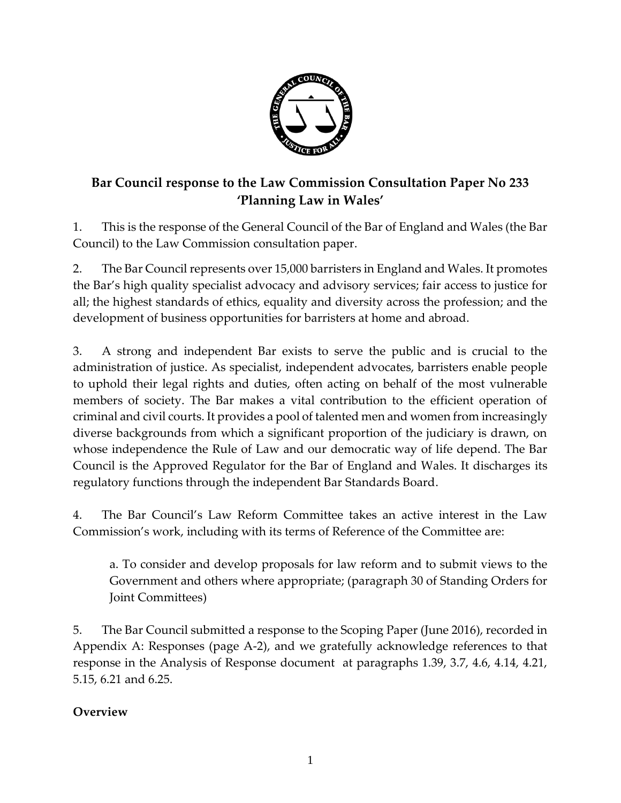

# **Bar Council response to the Law Commission Consultation Paper No 233 'Planning Law in Wales'**

1. This is the response of the General Council of the Bar of England and Wales (the Bar Council) to the Law Commission consultation paper.

2. The Bar Council represents over 15,000 barristers in England and Wales. It promotes the Bar's high quality specialist advocacy and advisory services; fair access to justice for all; the highest standards of ethics, equality and diversity across the profession; and the development of business opportunities for barristers at home and abroad.

3. A strong and independent Bar exists to serve the public and is crucial to the administration of justice. As specialist, independent advocates, barristers enable people to uphold their legal rights and duties, often acting on behalf of the most vulnerable members of society. The Bar makes a vital contribution to the efficient operation of criminal and civil courts. It provides a pool of talented men and women from increasingly diverse backgrounds from which a significant proportion of the judiciary is drawn, on whose independence the Rule of Law and our democratic way of life depend. The Bar Council is the Approved Regulator for the Bar of England and Wales. It discharges its regulatory functions through the independent Bar Standards Board.

4. The Bar Council's Law Reform Committee takes an active interest in the Law Commission's work, including with its terms of Reference of the Committee are:

a. To consider and develop proposals for law reform and to submit views to the Government and others where appropriate; (paragraph 30 of Standing Orders for Joint Committees)

5. The Bar Council submitted a response to the Scoping Paper (June 2016), recorded in Appendix A: Responses (page A-2), and we gratefully acknowledge references to that response in the Analysis of Response document at paragraphs 1.39, 3.7, 4.6, 4.14, 4.21, 5.15, 6.21 and 6.25.

# **Overview**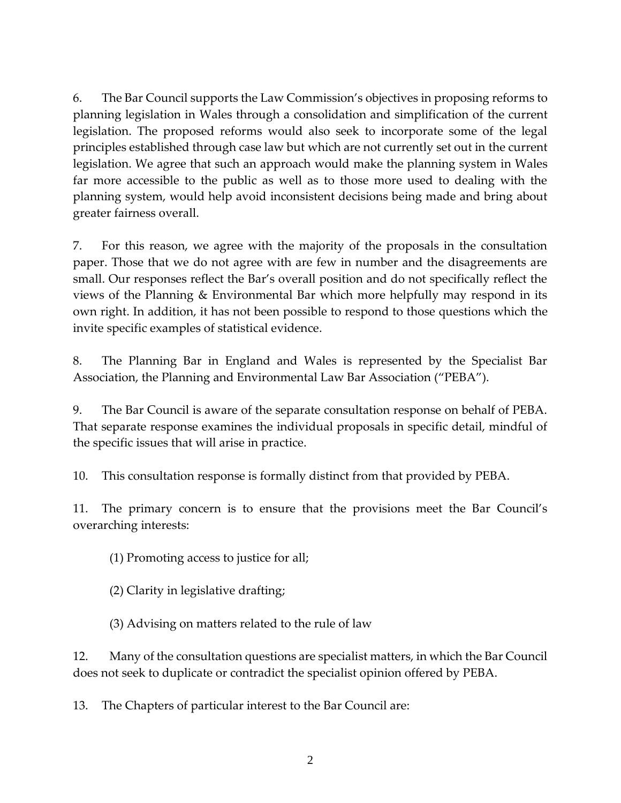6. The Bar Council supports the Law Commission's objectives in proposing reforms to planning legislation in Wales through a consolidation and simplification of the current legislation. The proposed reforms would also seek to incorporate some of the legal principles established through case law but which are not currently set out in the current legislation. We agree that such an approach would make the planning system in Wales far more accessible to the public as well as to those more used to dealing with the planning system, would help avoid inconsistent decisions being made and bring about greater fairness overall.

7. For this reason, we agree with the majority of the proposals in the consultation paper. Those that we do not agree with are few in number and the disagreements are small. Our responses reflect the Bar's overall position and do not specifically reflect the views of the Planning & Environmental Bar which more helpfully may respond in its own right. In addition, it has not been possible to respond to those questions which the invite specific examples of statistical evidence.

8. The Planning Bar in England and Wales is represented by the Specialist Bar Association, the Planning and Environmental Law Bar Association ("PEBA").

9. The Bar Council is aware of the separate consultation response on behalf of PEBA. That separate response examines the individual proposals in specific detail, mindful of the specific issues that will arise in practice.

10. This consultation response is formally distinct from that provided by PEBA.

11. The primary concern is to ensure that the provisions meet the Bar Council's overarching interests:

(1) Promoting access to justice for all;

(2) Clarity in legislative drafting;

(3) Advising on matters related to the rule of law

12. Many of the consultation questions are specialist matters, in which the Bar Council does not seek to duplicate or contradict the specialist opinion offered by PEBA.

13. The Chapters of particular interest to the Bar Council are: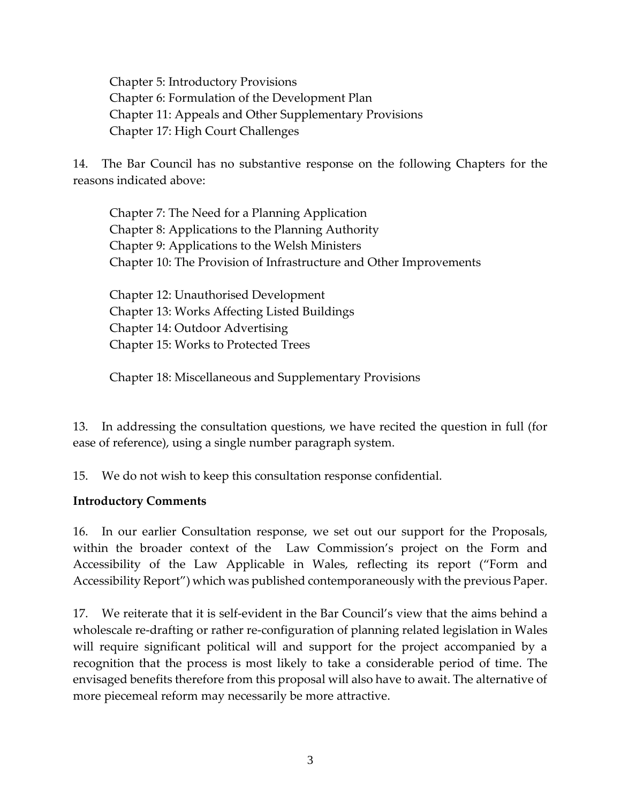Chapter 5: Introductory Provisions Chapter 6: Formulation of the Development Plan Chapter 11: Appeals and Other Supplementary Provisions Chapter 17: High Court Challenges

14. The Bar Council has no substantive response on the following Chapters for the reasons indicated above:

Chapter 7: The Need for a Planning Application Chapter 8: Applications to the Planning Authority Chapter 9: Applications to the Welsh Ministers Chapter 10: The Provision of Infrastructure and Other Improvements

Chapter 12: Unauthorised Development Chapter 13: Works Affecting Listed Buildings Chapter 14: Outdoor Advertising Chapter 15: Works to Protected Trees

Chapter 18: Miscellaneous and Supplementary Provisions

13. In addressing the consultation questions, we have recited the question in full (for ease of reference), using a single number paragraph system.

15. We do not wish to keep this consultation response confidential.

## **Introductory Comments**

16. In our earlier Consultation response, we set out our support for the Proposals, within the broader context of the Law Commission's project on the Form and Accessibility of the Law Applicable in Wales, reflecting its report ("Form and Accessibility Report") which was published contemporaneously with the previous Paper.

17. We reiterate that it is self-evident in the Bar Council's view that the aims behind a wholescale re-drafting or rather re-configuration of planning related legislation in Wales will require significant political will and support for the project accompanied by a recognition that the process is most likely to take a considerable period of time. The envisaged benefits therefore from this proposal will also have to await. The alternative of more piecemeal reform may necessarily be more attractive.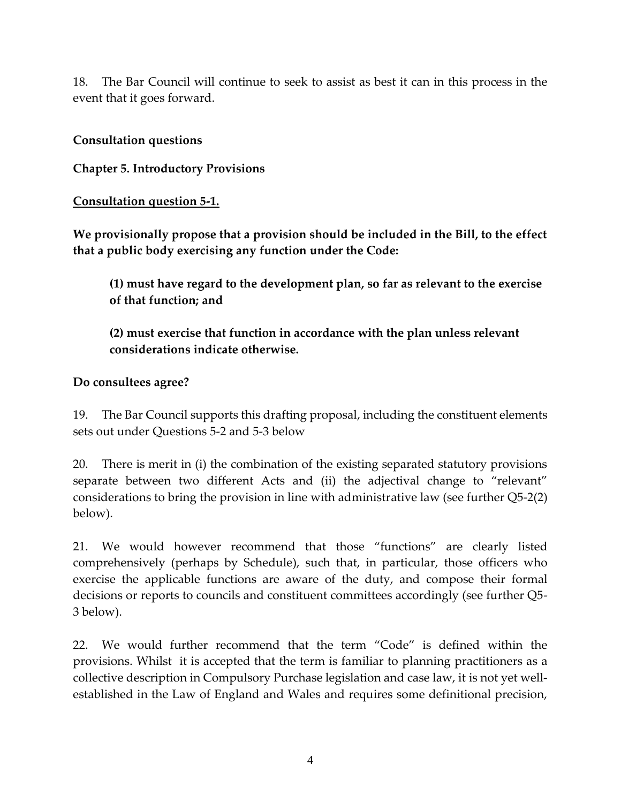18. The Bar Council will continue to seek to assist as best it can in this process in the event that it goes forward.

## **Consultation questions**

**Chapter 5. Introductory Provisions**

### **Consultation question 5-1.**

**We provisionally propose that a provision should be included in the Bill, to the effect that a public body exercising any function under the Code:** 

**(1) must have regard to the development plan, so far as relevant to the exercise of that function; and** 

**(2) must exercise that function in accordance with the plan unless relevant considerations indicate otherwise.** 

## **Do consultees agree?**

19. The Bar Council supports this drafting proposal, including the constituent elements sets out under Questions 5-2 and 5-3 below

20. There is merit in (i) the combination of the existing separated statutory provisions separate between two different Acts and (ii) the adjectival change to "relevant" considerations to bring the provision in line with administrative law (see further Q5-2(2) below).

21. We would however recommend that those "functions" are clearly listed comprehensively (perhaps by Schedule), such that, in particular, those officers who exercise the applicable functions are aware of the duty, and compose their formal decisions or reports to councils and constituent committees accordingly (see further Q5- 3 below).

22. We would further recommend that the term "Code" is defined within the provisions. Whilst it is accepted that the term is familiar to planning practitioners as a collective description in Compulsory Purchase legislation and case law, it is not yet wellestablished in the Law of England and Wales and requires some definitional precision,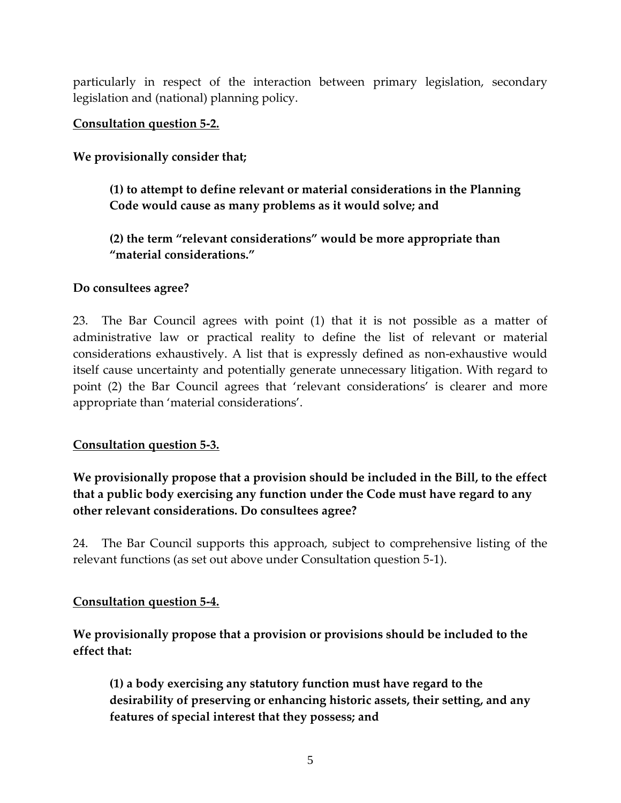particularly in respect of the interaction between primary legislation, secondary legislation and (national) planning policy.

### **Consultation question 5-2.**

**We provisionally consider that;** 

**(1) to attempt to define relevant or material considerations in the Planning Code would cause as many problems as it would solve; and** 

**(2) the term "relevant considerations" would be more appropriate than "material considerations."** 

### **Do consultees agree?**

23. The Bar Council agrees with point (1) that it is not possible as a matter of administrative law or practical reality to define the list of relevant or material considerations exhaustively. A list that is expressly defined as non-exhaustive would itself cause uncertainty and potentially generate unnecessary litigation. With regard to point (2) the Bar Council agrees that 'relevant considerations' is clearer and more appropriate than 'material considerations'.

#### **Consultation question 5-3.**

**We provisionally propose that a provision should be included in the Bill, to the effect that a public body exercising any function under the Code must have regard to any other relevant considerations. Do consultees agree?** 

24. The Bar Council supports this approach, subject to comprehensive listing of the relevant functions (as set out above under Consultation question 5-1).

#### **Consultation question 5-4.**

**We provisionally propose that a provision or provisions should be included to the effect that:** 

**(1) a body exercising any statutory function must have regard to the desirability of preserving or enhancing historic assets, their setting, and any features of special interest that they possess; and**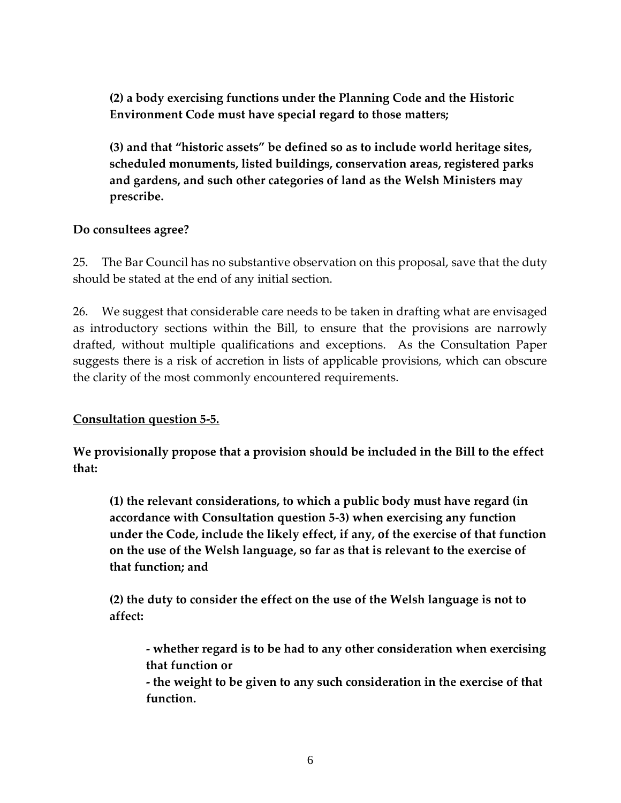**(2) a body exercising functions under the Planning Code and the Historic Environment Code must have special regard to those matters;**

**(3) and that "historic assets" be defined so as to include world heritage sites, scheduled monuments, listed buildings, conservation areas, registered parks and gardens, and such other categories of land as the Welsh Ministers may prescribe.** 

## **Do consultees agree?**

25. The Bar Council has no substantive observation on this proposal, save that the duty should be stated at the end of any initial section.

26. We suggest that considerable care needs to be taken in drafting what are envisaged as introductory sections within the Bill, to ensure that the provisions are narrowly drafted, without multiple qualifications and exceptions. As the Consultation Paper suggests there is a risk of accretion in lists of applicable provisions, which can obscure the clarity of the most commonly encountered requirements.

## **Consultation question 5-5.**

**We provisionally propose that a provision should be included in the Bill to the effect that:** 

**(1) the relevant considerations, to which a public body must have regard (in accordance with Consultation question 5-3) when exercising any function under the Code, include the likely effect, if any, of the exercise of that function on the use of the Welsh language, so far as that is relevant to the exercise of that function; and** 

**(2) the duty to consider the effect on the use of the Welsh language is not to affect:** 

**- whether regard is to be had to any other consideration when exercising that function or** 

**- the weight to be given to any such consideration in the exercise of that function.**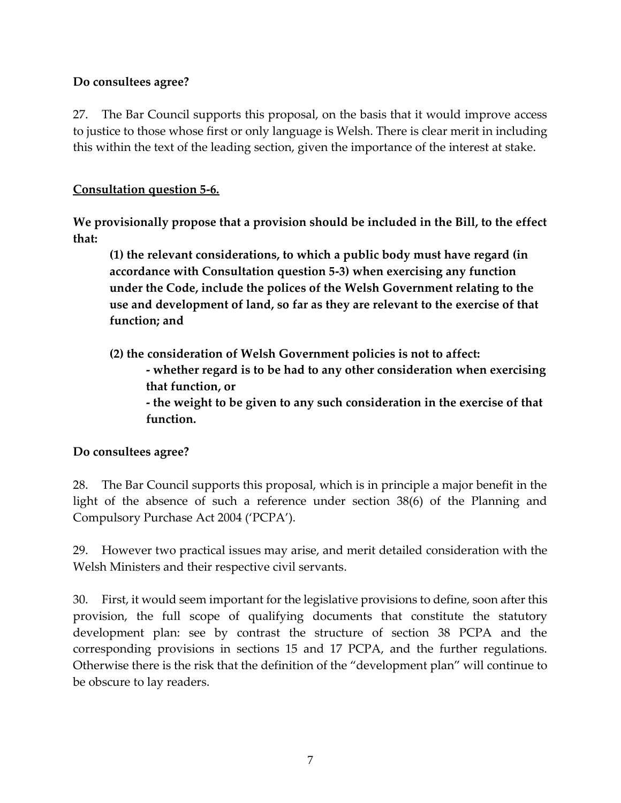## **Do consultees agree?**

27. The Bar Council supports this proposal, on the basis that it would improve access to justice to those whose first or only language is Welsh. There is clear merit in including this within the text of the leading section, given the importance of the interest at stake.

## **Consultation question 5-6.**

**We provisionally propose that a provision should be included in the Bill, to the effect that:** 

**(1) the relevant considerations, to which a public body must have regard (in accordance with Consultation question 5-3) when exercising any function under the Code, include the polices of the Welsh Government relating to the use and development of land, so far as they are relevant to the exercise of that function; and** 

**(2) the consideration of Welsh Government policies is not to affect: - whether regard is to be had to any other consideration when exercising that function, or - the weight to be given to any such consideration in the exercise of that function.** 

## **Do consultees agree?**

28. The Bar Council supports this proposal, which is in principle a major benefit in the light of the absence of such a reference under section 38(6) of the Planning and Compulsory Purchase Act 2004 ('PCPA').

29. However two practical issues may arise, and merit detailed consideration with the Welsh Ministers and their respective civil servants.

30. First, it would seem important for the legislative provisions to define, soon after this provision, the full scope of qualifying documents that constitute the statutory development plan: see by contrast the structure of section 38 PCPA and the corresponding provisions in sections 15 and 17 PCPA, and the further regulations. Otherwise there is the risk that the definition of the "development plan" will continue to be obscure to lay readers.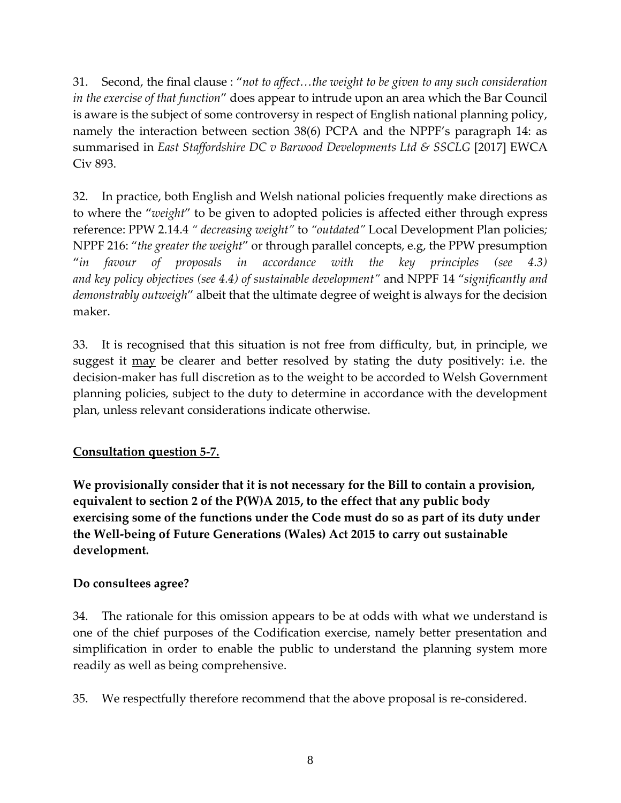31. Second, the final clause : "*not to affect…the weight to be given to any such consideration in the exercise of that function*" does appear to intrude upon an area which the Bar Council is aware is the subject of some controversy in respect of English national planning policy, namely the interaction between section 38(6) PCPA and the NPPF's paragraph 14: as summarised in *East Staffordshire DC v Barwood Developments Ltd & SSCLG* [2017] EWCA Civ 893.

32. In practice, both English and Welsh national policies frequently make directions as to where the "*weight*" to be given to adopted policies is affected either through express reference: PPW 2.14.4 *" decreasing weight"* to *"outdated"* Local Development Plan policies*;*  NPPF 216: "*the greater the weight*" or through parallel concepts, e.g, the PPW presumption "*in favour of proposals in accordance with the key principles (see 4.3) and key policy objectives (see 4.4) of sustainable development"* and NPPF 14 "*significantly and demonstrably outweigh*" albeit that the ultimate degree of weight is always for the decision maker.

33. It is recognised that this situation is not free from difficulty, but, in principle, we suggest it <u>may</u> be clearer and better resolved by stating the duty positively: i.e. the decision-maker has full discretion as to the weight to be accorded to Welsh Government planning policies, subject to the duty to determine in accordance with the development plan, unless relevant considerations indicate otherwise.

# **Consultation question 5-7.**

**We provisionally consider that it is not necessary for the Bill to contain a provision, equivalent to section 2 of the P(W)A 2015, to the effect that any public body exercising some of the functions under the Code must do so as part of its duty under the Well-being of Future Generations (Wales) Act 2015 to carry out sustainable development.** 

# **Do consultees agree?**

34. The rationale for this omission appears to be at odds with what we understand is one of the chief purposes of the Codification exercise, namely better presentation and simplification in order to enable the public to understand the planning system more readily as well as being comprehensive.

35. We respectfully therefore recommend that the above proposal is re-considered.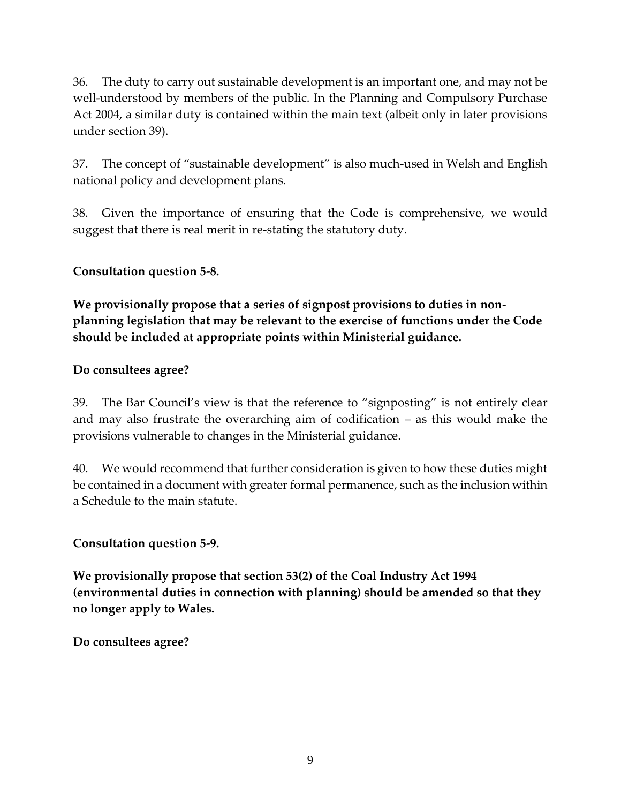36. The duty to carry out sustainable development is an important one, and may not be well-understood by members of the public. In the Planning and Compulsory Purchase Act 2004, a similar duty is contained within the main text (albeit only in later provisions under section 39).

37. The concept of "sustainable development" is also much-used in Welsh and English national policy and development plans.

38. Given the importance of ensuring that the Code is comprehensive, we would suggest that there is real merit in re-stating the statutory duty.

## **Consultation question 5-8.**

**We provisionally propose that a series of signpost provisions to duties in nonplanning legislation that may be relevant to the exercise of functions under the Code should be included at appropriate points within Ministerial guidance.** 

### **Do consultees agree?**

39. The Bar Council's view is that the reference to "signposting" is not entirely clear and may also frustrate the overarching aim of codification – as this would make the provisions vulnerable to changes in the Ministerial guidance.

40. We would recommend that further consideration is given to how these duties might be contained in a document with greater formal permanence, such as the inclusion within a Schedule to the main statute.

#### **Consultation question 5-9.**

**We provisionally propose that section 53(2) of the Coal Industry Act 1994 (environmental duties in connection with planning) should be amended so that they no longer apply to Wales.** 

**Do consultees agree?**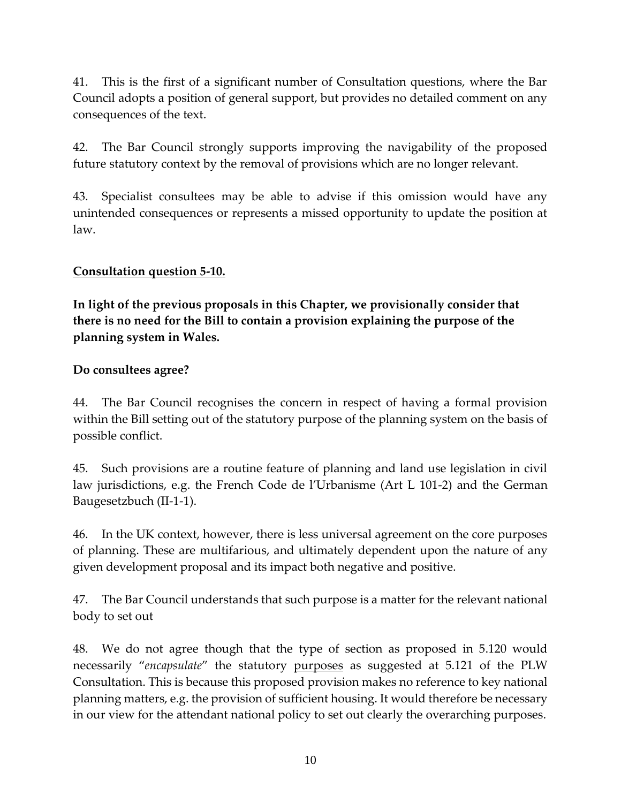41. This is the first of a significant number of Consultation questions, where the Bar Council adopts a position of general support, but provides no detailed comment on any consequences of the text.

42. The Bar Council strongly supports improving the navigability of the proposed future statutory context by the removal of provisions which are no longer relevant.

43. Specialist consultees may be able to advise if this omission would have any unintended consequences or represents a missed opportunity to update the position at law.

## **Consultation question 5-10.**

**In light of the previous proposals in this Chapter, we provisionally consider that there is no need for the Bill to contain a provision explaining the purpose of the planning system in Wales.** 

## **Do consultees agree?**

44. The Bar Council recognises the concern in respect of having a formal provision within the Bill setting out of the statutory purpose of the planning system on the basis of possible conflict.

45. Such provisions are a routine feature of planning and land use legislation in civil law jurisdictions, e.g. the French Code de l'Urbanisme (Art L 101-2) and the German Baugesetzbuch (II-1-1).

46. In the UK context, however, there is less universal agreement on the core purposes of planning. These are multifarious, and ultimately dependent upon the nature of any given development proposal and its impact both negative and positive.

47. The Bar Council understands that such purpose is a matter for the relevant national body to set out

48. We do not agree though that the type of section as proposed in 5.120 would necessarily "*encapsulate*" the statutory purposes as suggested at 5.121 of the PLW Consultation. This is because this proposed provision makes no reference to key national planning matters, e.g. the provision of sufficient housing. It would therefore be necessary in our view for the attendant national policy to set out clearly the overarching purposes.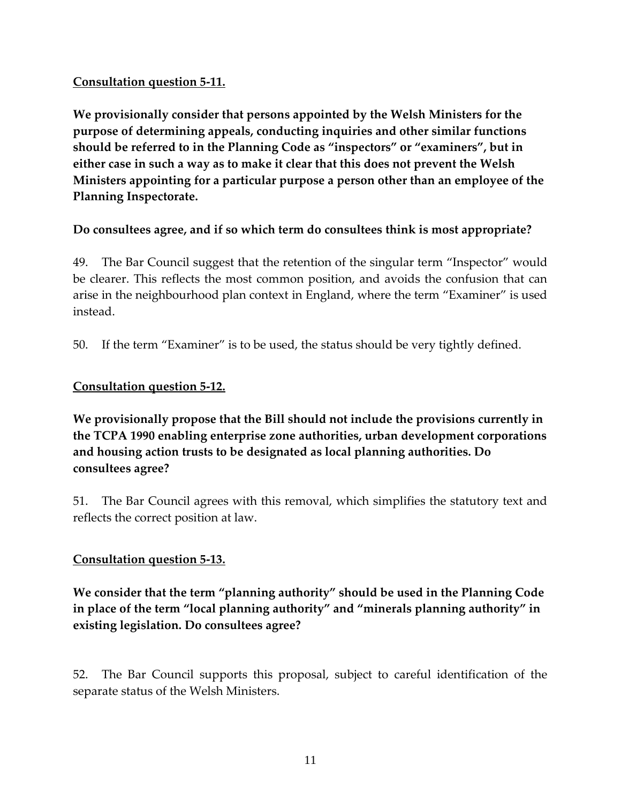## **Consultation question 5-11.**

**We provisionally consider that persons appointed by the Welsh Ministers for the purpose of determining appeals, conducting inquiries and other similar functions should be referred to in the Planning Code as "inspectors" or "examiners", but in either case in such a way as to make it clear that this does not prevent the Welsh Ministers appointing for a particular purpose a person other than an employee of the Planning Inspectorate.** 

## **Do consultees agree, and if so which term do consultees think is most appropriate?**

49. The Bar Council suggest that the retention of the singular term "Inspector" would be clearer. This reflects the most common position, and avoids the confusion that can arise in the neighbourhood plan context in England, where the term "Examiner" is used instead.

50. If the term "Examiner" is to be used, the status should be very tightly defined.

## **Consultation question 5-12.**

**We provisionally propose that the Bill should not include the provisions currently in the TCPA 1990 enabling enterprise zone authorities, urban development corporations and housing action trusts to be designated as local planning authorities. Do consultees agree?** 

51. The Bar Council agrees with this removal, which simplifies the statutory text and reflects the correct position at law.

## **Consultation question 5-13.**

**We consider that the term "planning authority" should be used in the Planning Code in place of the term "local planning authority" and "minerals planning authority" in existing legislation. Do consultees agree?** 

52. The Bar Council supports this proposal, subject to careful identification of the separate status of the Welsh Ministers.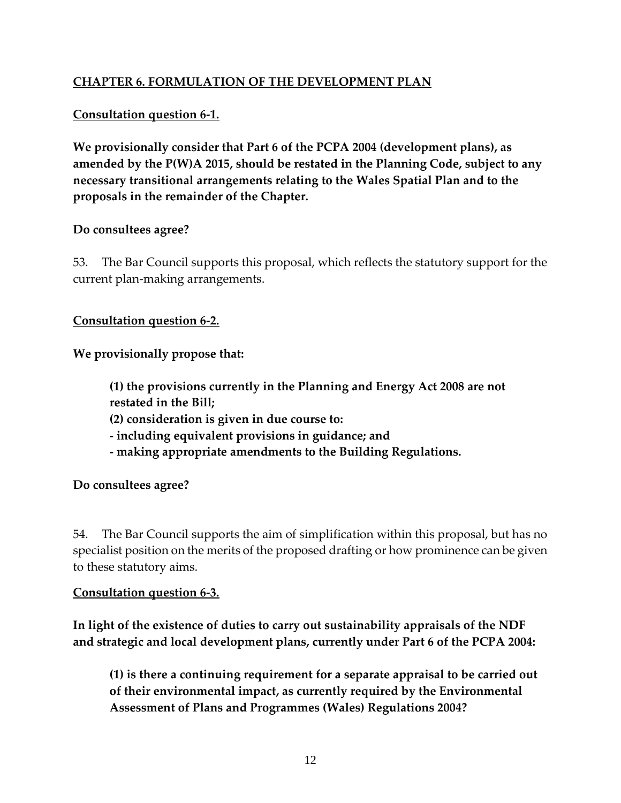# **CHAPTER 6. FORMULATION OF THE DEVELOPMENT PLAN**

## **Consultation question 6-1.**

**We provisionally consider that Part 6 of the PCPA 2004 (development plans), as amended by the P(W)A 2015, should be restated in the Planning Code, subject to any necessary transitional arrangements relating to the Wales Spatial Plan and to the proposals in the remainder of the Chapter.** 

### **Do consultees agree?**

53. The Bar Council supports this proposal, which reflects the statutory support for the current plan-making arrangements.

**Consultation question 6-2.** 

**We provisionally propose that:** 

**(1) the provisions currently in the Planning and Energy Act 2008 are not restated in the Bill; (2) consideration is given in due course to: - including equivalent provisions in guidance; and - making appropriate amendments to the Building Regulations.** 

**Do consultees agree?** 

54. The Bar Council supports the aim of simplification within this proposal, but has no specialist position on the merits of the proposed drafting or how prominence can be given to these statutory aims.

#### **Consultation question 6-3.**

**In light of the existence of duties to carry out sustainability appraisals of the NDF and strategic and local development plans, currently under Part 6 of the PCPA 2004:** 

**(1) is there a continuing requirement for a separate appraisal to be carried out of their environmental impact, as currently required by the Environmental Assessment of Plans and Programmes (Wales) Regulations 2004?**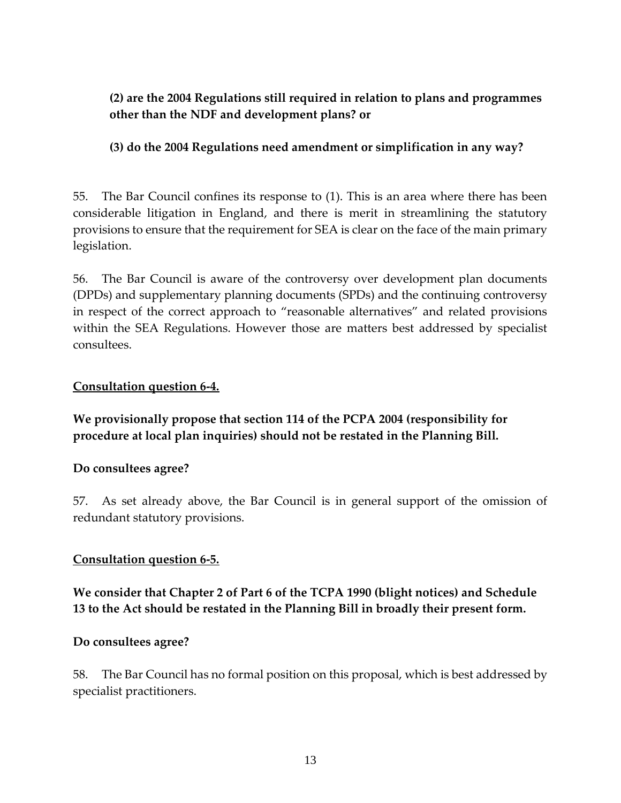**(2) are the 2004 Regulations still required in relation to plans and programmes other than the NDF and development plans? or** 

# **(3) do the 2004 Regulations need amendment or simplification in any way?**

55. The Bar Council confines its response to (1). This is an area where there has been considerable litigation in England, and there is merit in streamlining the statutory provisions to ensure that the requirement for SEA is clear on the face of the main primary legislation.

56. The Bar Council is aware of the controversy over development plan documents (DPDs) and supplementary planning documents (SPDs) and the continuing controversy in respect of the correct approach to "reasonable alternatives" and related provisions within the SEA Regulations. However those are matters best addressed by specialist consultees.

### **Consultation question 6-4.**

**We provisionally propose that section 114 of the PCPA 2004 (responsibility for procedure at local plan inquiries) should not be restated in the Planning Bill.** 

## **Do consultees agree?**

57. As set already above, the Bar Council is in general support of the omission of redundant statutory provisions.

### **Consultation question 6-5.**

**We consider that Chapter 2 of Part 6 of the TCPA 1990 (blight notices) and Schedule 13 to the Act should be restated in the Planning Bill in broadly their present form.** 

#### **Do consultees agree?**

58. The Bar Council has no formal position on this proposal, which is best addressed by specialist practitioners.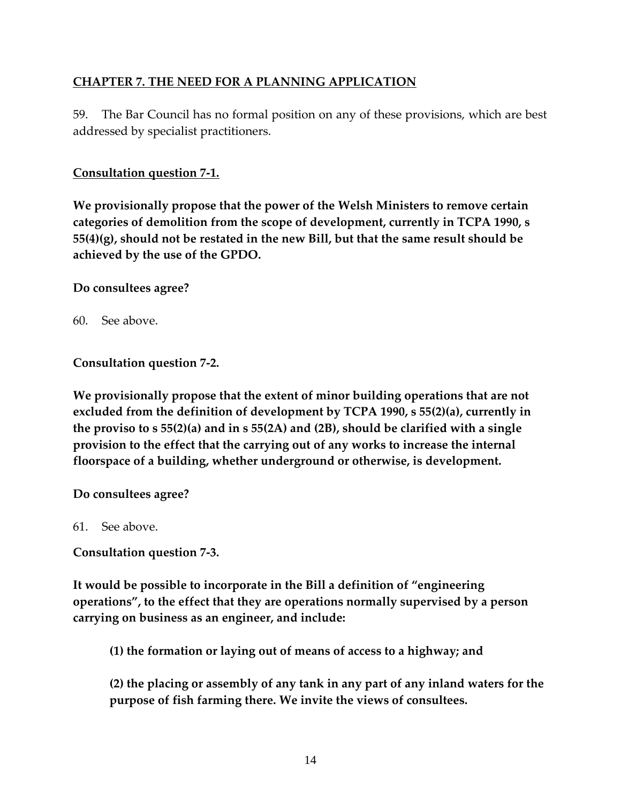## **CHAPTER 7. THE NEED FOR A PLANNING APPLICATION**

59. The Bar Council has no formal position on any of these provisions, which are best addressed by specialist practitioners.

### **Consultation question 7-1.**

**We provisionally propose that the power of the Welsh Ministers to remove certain categories of demolition from the scope of development, currently in TCPA 1990, s 55(4)(g), should not be restated in the new Bill, but that the same result should be achieved by the use of the GPDO.** 

### **Do consultees agree?**

60. See above.

**Consultation question 7-2.** 

**We provisionally propose that the extent of minor building operations that are not excluded from the definition of development by TCPA 1990, s 55(2)(a), currently in the proviso to s 55(2)(a) and in s 55(2A) and (2B), should be clarified with a single provision to the effect that the carrying out of any works to increase the internal floorspace of a building, whether underground or otherwise, is development.** 

**Do consultees agree?** 

61. See above.

**Consultation question 7-3.** 

**It would be possible to incorporate in the Bill a definition of "engineering operations", to the effect that they are operations normally supervised by a person carrying on business as an engineer, and include:** 

**(1) the formation or laying out of means of access to a highway; and** 

**(2) the placing or assembly of any tank in any part of any inland waters for the purpose of fish farming there. We invite the views of consultees.**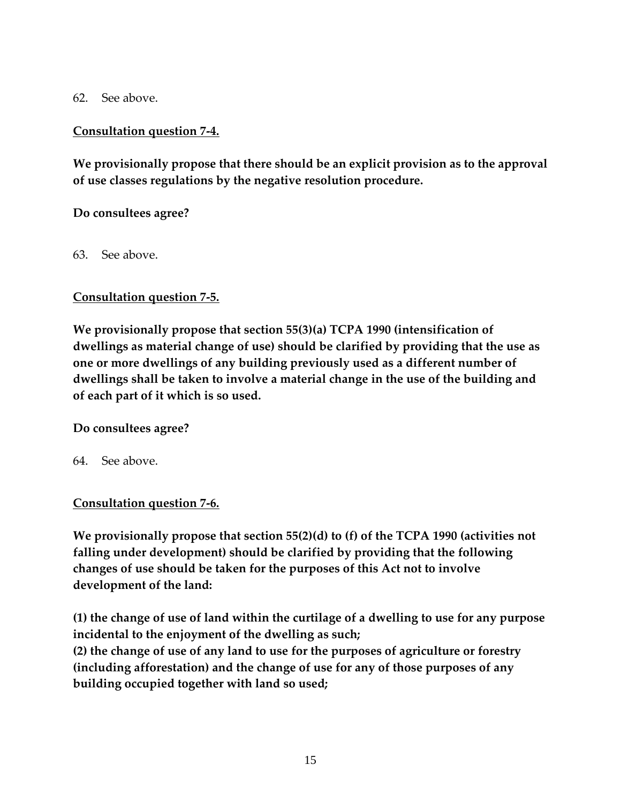62. See above.

## **Consultation question 7-4.**

**We provisionally propose that there should be an explicit provision as to the approval of use classes regulations by the negative resolution procedure.** 

## **Do consultees agree?**

63. See above.

## **Consultation question 7-5.**

**We provisionally propose that section 55(3)(a) TCPA 1990 (intensification of dwellings as material change of use) should be clarified by providing that the use as one or more dwellings of any building previously used as a different number of dwellings shall be taken to involve a material change in the use of the building and of each part of it which is so used.** 

## **Do consultees agree?**

64. See above.

## **Consultation question 7-6.**

**We provisionally propose that section 55(2)(d) to (f) of the TCPA 1990 (activities not falling under development) should be clarified by providing that the following changes of use should be taken for the purposes of this Act not to involve development of the land:** 

**(1) the change of use of land within the curtilage of a dwelling to use for any purpose incidental to the enjoyment of the dwelling as such;** 

**(2) the change of use of any land to use for the purposes of agriculture or forestry (including afforestation) and the change of use for any of those purposes of any building occupied together with land so used;**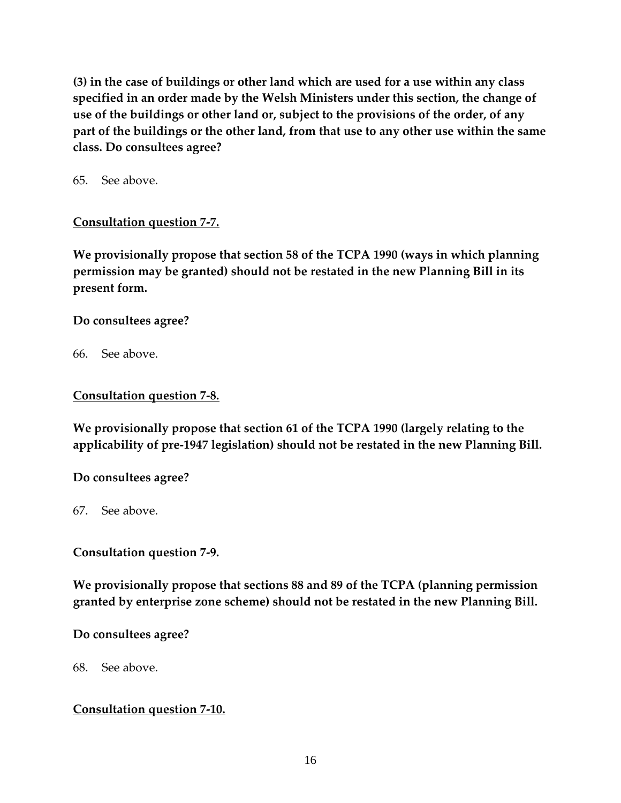**(3) in the case of buildings or other land which are used for a use within any class specified in an order made by the Welsh Ministers under this section, the change of use of the buildings or other land or, subject to the provisions of the order, of any part of the buildings or the other land, from that use to any other use within the same class. Do consultees agree?** 

65. See above.

## **Consultation question 7-7.**

**We provisionally propose that section 58 of the TCPA 1990 (ways in which planning permission may be granted) should not be restated in the new Planning Bill in its present form.** 

## **Do consultees agree?**

66. See above.

### **Consultation question 7-8.**

**We provisionally propose that section 61 of the TCPA 1990 (largely relating to the applicability of pre-1947 legislation) should not be restated in the new Planning Bill.** 

**Do consultees agree?** 

67. See above.

**Consultation question 7-9.** 

**We provisionally propose that sections 88 and 89 of the TCPA (planning permission granted by enterprise zone scheme) should not be restated in the new Planning Bill.** 

**Do consultees agree?** 

68. See above.

#### **Consultation question 7-10.**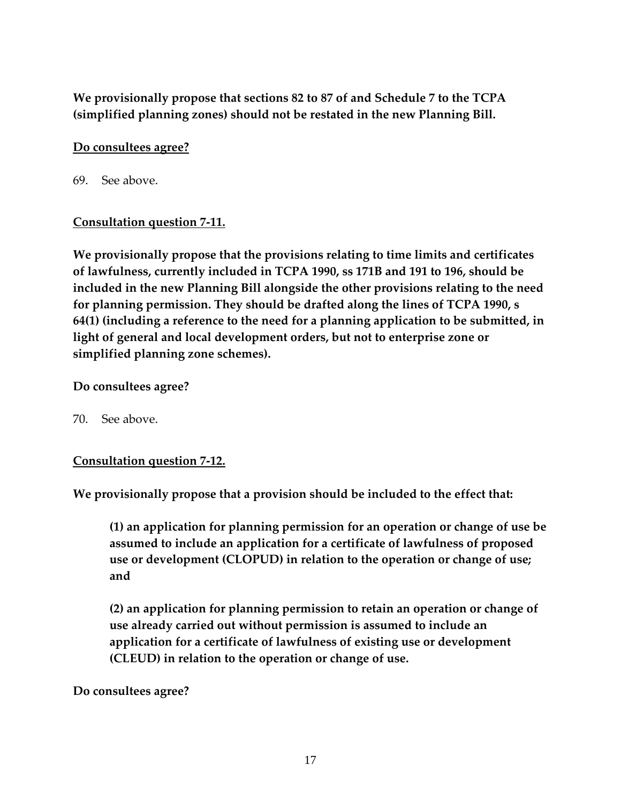**We provisionally propose that sections 82 to 87 of and Schedule 7 to the TCPA (simplified planning zones) should not be restated in the new Planning Bill.** 

## **Do consultees agree?**

69. See above.

### **Consultation question 7-11.**

**We provisionally propose that the provisions relating to time limits and certificates of lawfulness, currently included in TCPA 1990, ss 171B and 191 to 196, should be included in the new Planning Bill alongside the other provisions relating to the need for planning permission. They should be drafted along the lines of TCPA 1990, s 64(1) (including a reference to the need for a planning application to be submitted, in light of general and local development orders, but not to enterprise zone or simplified planning zone schemes).** 

### **Do consultees agree?**

70. See above.

## **Consultation question 7-12.**

**We provisionally propose that a provision should be included to the effect that:** 

**(1) an application for planning permission for an operation or change of use be assumed to include an application for a certificate of lawfulness of proposed use or development (CLOPUD) in relation to the operation or change of use; and** 

**(2) an application for planning permission to retain an operation or change of use already carried out without permission is assumed to include an application for a certificate of lawfulness of existing use or development (CLEUD) in relation to the operation or change of use.** 

#### **Do consultees agree?**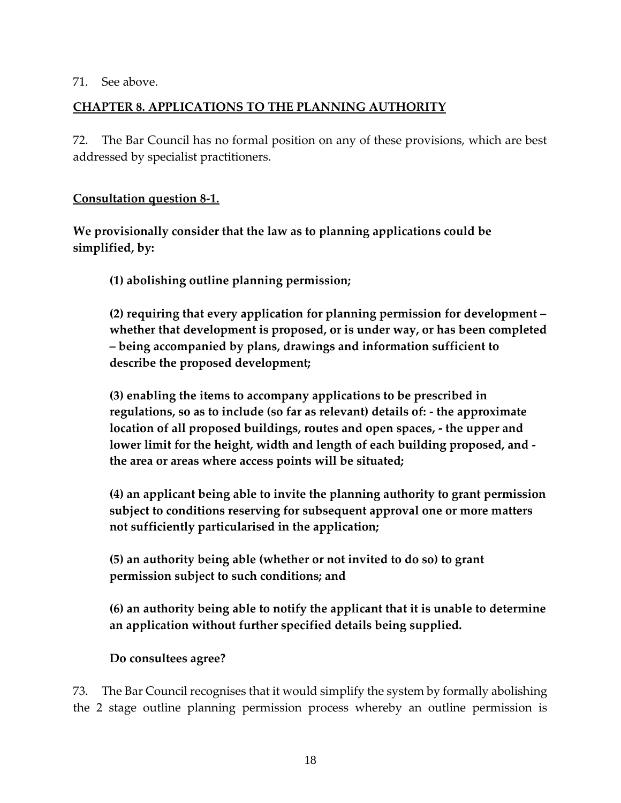#### 71. See above.

## **CHAPTER 8. APPLICATIONS TO THE PLANNING AUTHORITY**

72. The Bar Council has no formal position on any of these provisions, which are best addressed by specialist practitioners.

## **Consultation question 8-1.**

**We provisionally consider that the law as to planning applications could be simplified, by:** 

**(1) abolishing outline planning permission;** 

**(2) requiring that every application for planning permission for development – whether that development is proposed, or is under way, or has been completed – being accompanied by plans, drawings and information sufficient to describe the proposed development;** 

**(3) enabling the items to accompany applications to be prescribed in regulations, so as to include (so far as relevant) details of: - the approximate location of all proposed buildings, routes and open spaces, - the upper and lower limit for the height, width and length of each building proposed, and the area or areas where access points will be situated;** 

**(4) an applicant being able to invite the planning authority to grant permission subject to conditions reserving for subsequent approval one or more matters not sufficiently particularised in the application;** 

**(5) an authority being able (whether or not invited to do so) to grant permission subject to such conditions; and** 

**(6) an authority being able to notify the applicant that it is unable to determine an application without further specified details being supplied.** 

**Do consultees agree?** 

73. The Bar Council recognises that it would simplify the system by formally abolishing the 2 stage outline planning permission process whereby an outline permission is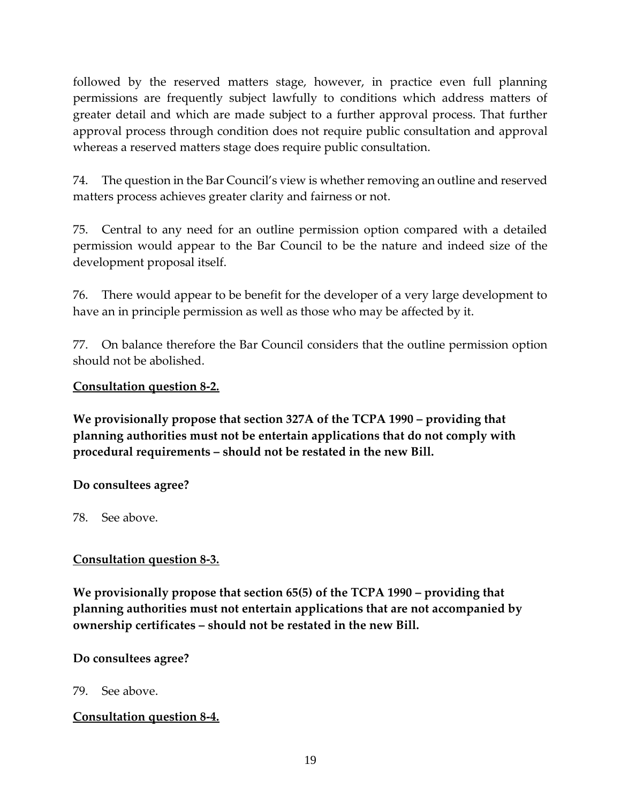followed by the reserved matters stage, however, in practice even full planning permissions are frequently subject lawfully to conditions which address matters of greater detail and which are made subject to a further approval process. That further approval process through condition does not require public consultation and approval whereas a reserved matters stage does require public consultation.

74. The question in the Bar Council's view is whether removing an outline and reserved matters process achieves greater clarity and fairness or not.

75. Central to any need for an outline permission option compared with a detailed permission would appear to the Bar Council to be the nature and indeed size of the development proposal itself.

76. There would appear to be benefit for the developer of a very large development to have an in principle permission as well as those who may be affected by it.

77. On balance therefore the Bar Council considers that the outline permission option should not be abolished.

### **Consultation question 8-2.**

**We provisionally propose that section 327A of the TCPA 1990 – providing that planning authorities must not be entertain applications that do not comply with procedural requirements – should not be restated in the new Bill.** 

**Do consultees agree?** 

78. See above.

## **Consultation question 8-3.**

**We provisionally propose that section 65(5) of the TCPA 1990 – providing that planning authorities must not entertain applications that are not accompanied by ownership certificates – should not be restated in the new Bill.** 

**Do consultees agree?** 

79. See above.

## **Consultation question 8-4.**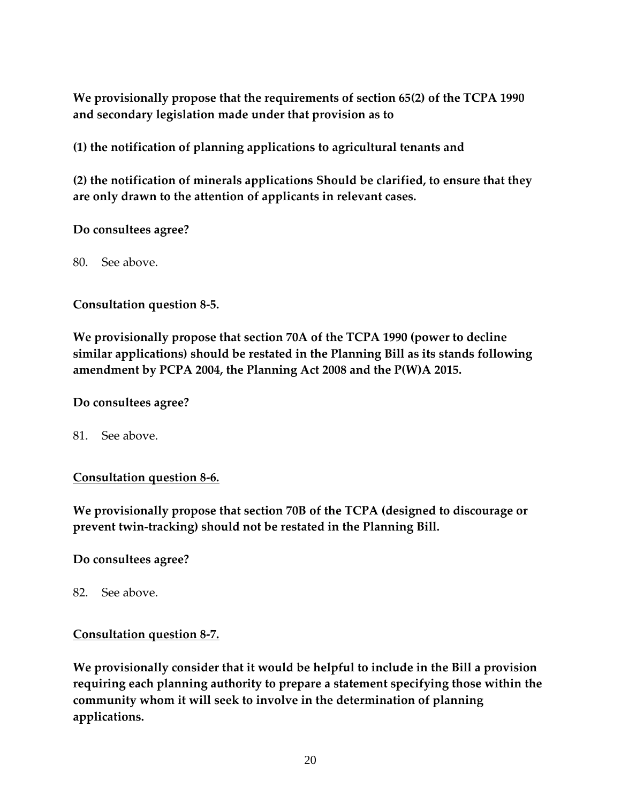**We provisionally propose that the requirements of section 65(2) of the TCPA 1990 and secondary legislation made under that provision as to** 

**(1) the notification of planning applications to agricultural tenants and** 

**(2) the notification of minerals applications Should be clarified, to ensure that they are only drawn to the attention of applicants in relevant cases.** 

### **Do consultees agree?**

80. See above.

### **Consultation question 8-5.**

**We provisionally propose that section 70A of the TCPA 1990 (power to decline similar applications) should be restated in the Planning Bill as its stands following amendment by PCPA 2004, the Planning Act 2008 and the P(W)A 2015.** 

#### **Do consultees agree?**

81. See above.

## **Consultation question 8-6.**

**We provisionally propose that section 70B of the TCPA (designed to discourage or prevent twin-tracking) should not be restated in the Planning Bill.** 

## **Do consultees agree?**

82. See above.

#### **Consultation question 8-7.**

**We provisionally consider that it would be helpful to include in the Bill a provision requiring each planning authority to prepare a statement specifying those within the community whom it will seek to involve in the determination of planning applications.**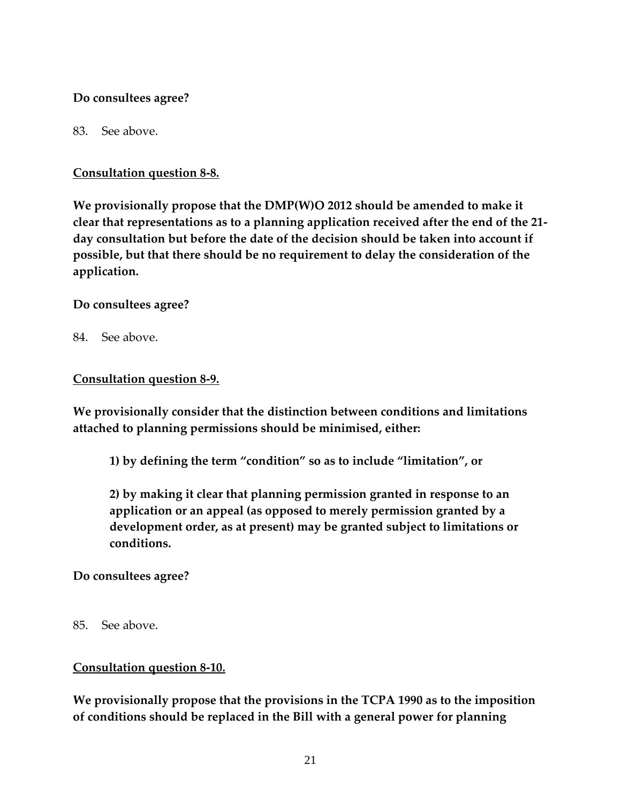## **Do consultees agree?**

## 83. See above.

## **Consultation question 8-8.**

**We provisionally propose that the DMP(W)O 2012 should be amended to make it clear that representations as to a planning application received after the end of the 21 day consultation but before the date of the decision should be taken into account if possible, but that there should be no requirement to delay the consideration of the application.** 

## **Do consultees agree?**

84. See above.

## **Consultation question 8-9.**

**We provisionally consider that the distinction between conditions and limitations attached to planning permissions should be minimised, either:** 

**1) by defining the term "condition" so as to include "limitation", or** 

**2) by making it clear that planning permission granted in response to an application or an appeal (as opposed to merely permission granted by a development order, as at present) may be granted subject to limitations or conditions.** 

## **Do consultees agree?**

85. See above.

# **Consultation question 8-10.**

**We provisionally propose that the provisions in the TCPA 1990 as to the imposition of conditions should be replaced in the Bill with a general power for planning**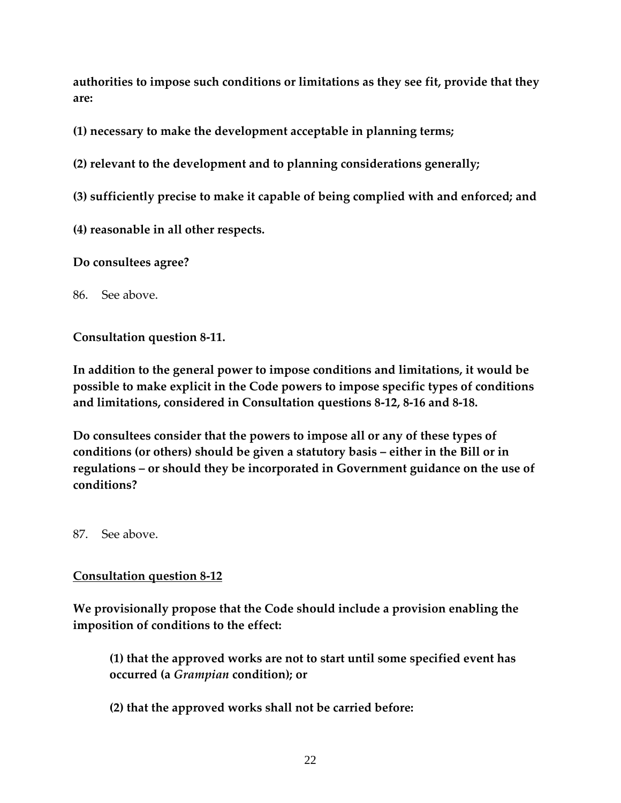**authorities to impose such conditions or limitations as they see fit, provide that they are:** 

**(1) necessary to make the development acceptable in planning terms;** 

**(2) relevant to the development and to planning considerations generally;** 

- **(3) sufficiently precise to make it capable of being complied with and enforced; and**
- **(4) reasonable in all other respects.**

**Do consultees agree?** 

86. See above.

**Consultation question 8-11.** 

**In addition to the general power to impose conditions and limitations, it would be possible to make explicit in the Code powers to impose specific types of conditions and limitations, considered in Consultation questions 8-12, 8-16 and 8-18.** 

**Do consultees consider that the powers to impose all or any of these types of conditions (or others) should be given a statutory basis – either in the Bill or in regulations – or should they be incorporated in Government guidance on the use of conditions?** 

87. See above.

## **Consultation question 8-12**

**We provisionally propose that the Code should include a provision enabling the imposition of conditions to the effect:** 

**(1) that the approved works are not to start until some specified event has occurred (a** *Grampian* **condition); or** 

**(2) that the approved works shall not be carried before:**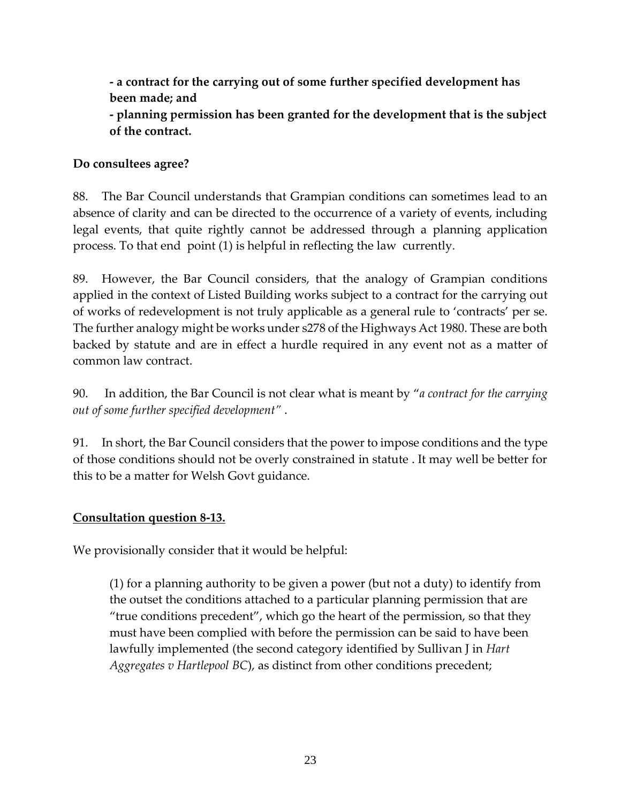**- a contract for the carrying out of some further specified development has been made; and** 

**- planning permission has been granted for the development that is the subject of the contract.** 

## **Do consultees agree?**

88. The Bar Council understands that Grampian conditions can sometimes lead to an absence of clarity and can be directed to the occurrence of a variety of events, including legal events, that quite rightly cannot be addressed through a planning application process. To that end point (1) is helpful in reflecting the law currently.

89. However, the Bar Council considers, that the analogy of Grampian conditions applied in the context of Listed Building works subject to a contract for the carrying out of works of redevelopment is not truly applicable as a general rule to 'contracts' per se. The further analogy might be works under s278 of the Highways Act 1980. These are both backed by statute and are in effect a hurdle required in any event not as a matter of common law contract.

90. In addition, the Bar Council is not clear what is meant by "*a contract for the carrying out of some further specified development"* .

91. In short, the Bar Council considers that the power to impose conditions and the type of those conditions should not be overly constrained in statute . It may well be better for this to be a matter for Welsh Govt guidance.

# **Consultation question 8-13.**

We provisionally consider that it would be helpful:

(1) for a planning authority to be given a power (but not a duty) to identify from the outset the conditions attached to a particular planning permission that are "true conditions precedent", which go the heart of the permission, so that they must have been complied with before the permission can be said to have been lawfully implemented (the second category identified by Sullivan J in *Hart Aggregates v Hartlepool BC*), as distinct from other conditions precedent;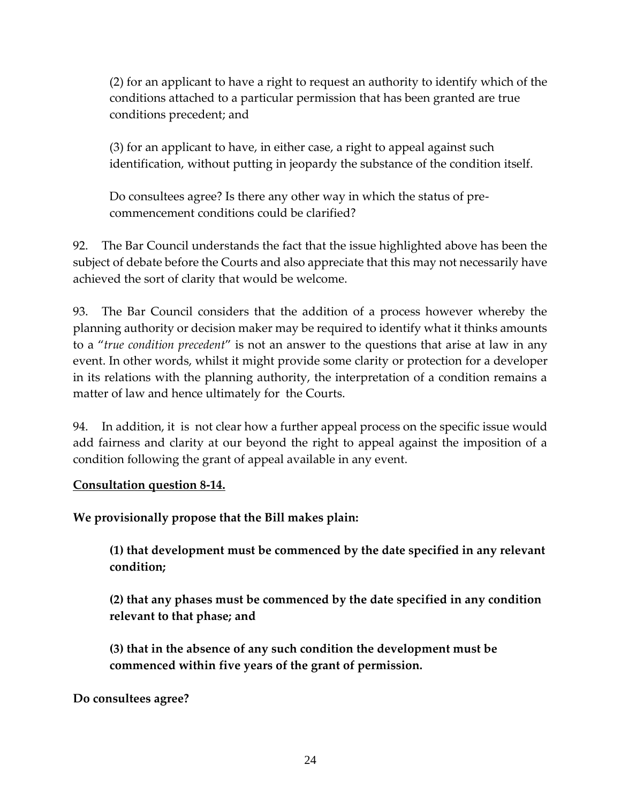(2) for an applicant to have a right to request an authority to identify which of the conditions attached to a particular permission that has been granted are true conditions precedent; and

(3) for an applicant to have, in either case, a right to appeal against such identification, without putting in jeopardy the substance of the condition itself.

Do consultees agree? Is there any other way in which the status of precommencement conditions could be clarified?

92. The Bar Council understands the fact that the issue highlighted above has been the subject of debate before the Courts and also appreciate that this may not necessarily have achieved the sort of clarity that would be welcome.

93. The Bar Council considers that the addition of a process however whereby the planning authority or decision maker may be required to identify what it thinks amounts to a "*true condition precedent*" is not an answer to the questions that arise at law in any event. In other words, whilst it might provide some clarity or protection for a developer in its relations with the planning authority, the interpretation of a condition remains a matter of law and hence ultimately for the Courts.

94. In addition, it is not clear how a further appeal process on the specific issue would add fairness and clarity at our beyond the right to appeal against the imposition of a condition following the grant of appeal available in any event.

## **Consultation question 8-14.**

**We provisionally propose that the Bill makes plain:** 

**(1) that development must be commenced by the date specified in any relevant condition;** 

**(2) that any phases must be commenced by the date specified in any condition relevant to that phase; and** 

**(3) that in the absence of any such condition the development must be commenced within five years of the grant of permission.** 

**Do consultees agree?**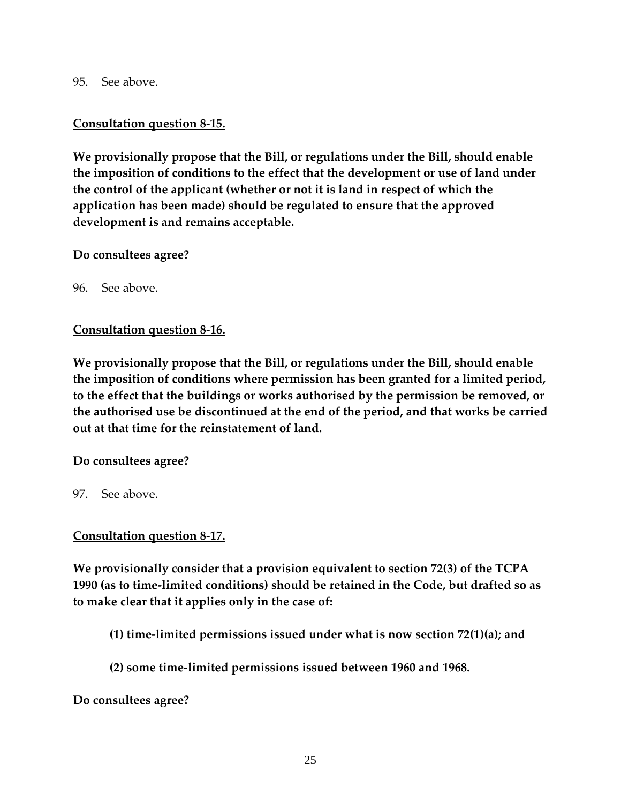95. See above.

## **Consultation question 8-15.**

**We provisionally propose that the Bill, or regulations under the Bill, should enable the imposition of conditions to the effect that the development or use of land under the control of the applicant (whether or not it is land in respect of which the application has been made) should be regulated to ensure that the approved development is and remains acceptable.** 

**Do consultees agree?** 

96. See above.

### **Consultation question 8-16.**

**We provisionally propose that the Bill, or regulations under the Bill, should enable the imposition of conditions where permission has been granted for a limited period, to the effect that the buildings or works authorised by the permission be removed, or the authorised use be discontinued at the end of the period, and that works be carried out at that time for the reinstatement of land.** 

**Do consultees agree?** 

97. See above.

## **Consultation question 8-17.**

**We provisionally consider that a provision equivalent to section 72(3) of the TCPA 1990 (as to time-limited conditions) should be retained in the Code, but drafted so as to make clear that it applies only in the case of:** 

- **(1) time-limited permissions issued under what is now section 72(1)(a); and**
- **(2) some time-limited permissions issued between 1960 and 1968.**

**Do consultees agree?**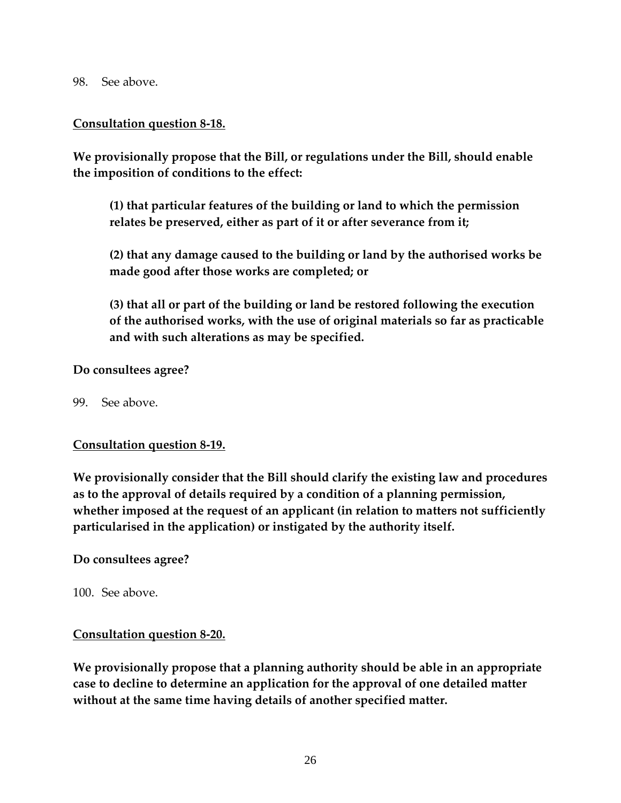98. See above.

#### **Consultation question 8-18.**

**We provisionally propose that the Bill, or regulations under the Bill, should enable the imposition of conditions to the effect:** 

**(1) that particular features of the building or land to which the permission relates be preserved, either as part of it or after severance from it;** 

**(2) that any damage caused to the building or land by the authorised works be made good after those works are completed; or** 

**(3) that all or part of the building or land be restored following the execution of the authorised works, with the use of original materials so far as practicable and with such alterations as may be specified.** 

#### **Do consultees agree?**

99. See above.

#### **Consultation question 8-19.**

**We provisionally consider that the Bill should clarify the existing law and procedures as to the approval of details required by a condition of a planning permission, whether imposed at the request of an applicant (in relation to matters not sufficiently particularised in the application) or instigated by the authority itself.** 

#### **Do consultees agree?**

100. See above.

#### **Consultation question 8-20.**

**We provisionally propose that a planning authority should be able in an appropriate case to decline to determine an application for the approval of one detailed matter without at the same time having details of another specified matter.**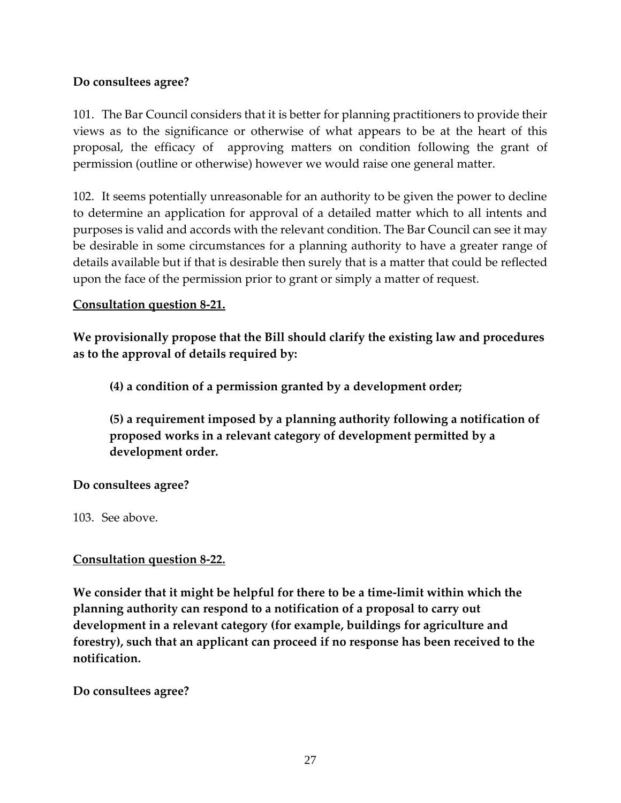## **Do consultees agree?**

101. The Bar Council considers that it is better for planning practitioners to provide their views as to the significance or otherwise of what appears to be at the heart of this proposal, the efficacy of approving matters on condition following the grant of permission (outline or otherwise) however we would raise one general matter.

102. It seems potentially unreasonable for an authority to be given the power to decline to determine an application for approval of a detailed matter which to all intents and purposes is valid and accords with the relevant condition. The Bar Council can see it may be desirable in some circumstances for a planning authority to have a greater range of details available but if that is desirable then surely that is a matter that could be reflected upon the face of the permission prior to grant or simply a matter of request.

## **Consultation question 8-21.**

**We provisionally propose that the Bill should clarify the existing law and procedures as to the approval of details required by:** 

**(4) a condition of a permission granted by a development order;** 

**(5) a requirement imposed by a planning authority following a notification of proposed works in a relevant category of development permitted by a development order.** 

**Do consultees agree?** 

103. See above.

## **Consultation question 8-22.**

**We consider that it might be helpful for there to be a time-limit within which the planning authority can respond to a notification of a proposal to carry out development in a relevant category (for example, buildings for agriculture and forestry), such that an applicant can proceed if no response has been received to the notification.** 

**Do consultees agree?**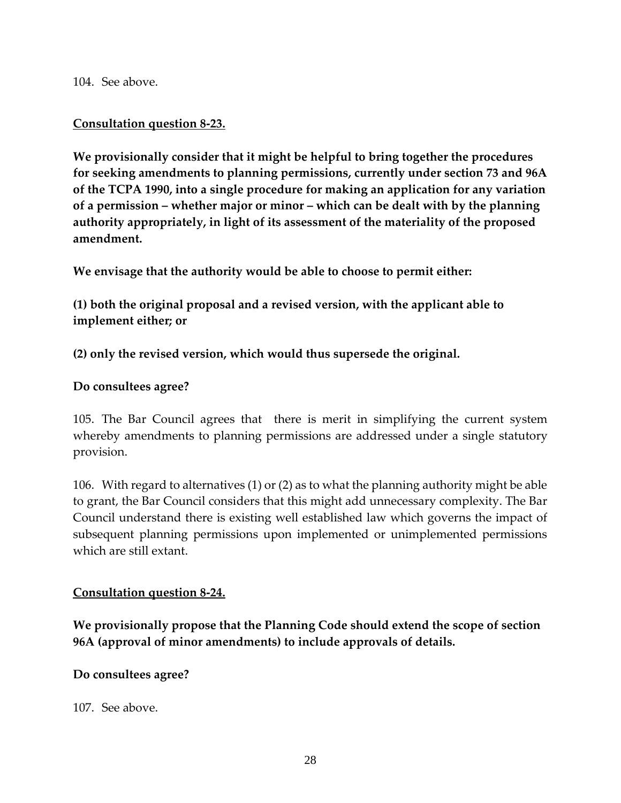104. See above.

### **Consultation question 8-23.**

**We provisionally consider that it might be helpful to bring together the procedures for seeking amendments to planning permissions, currently under section 73 and 96A of the TCPA 1990, into a single procedure for making an application for any variation of a permission – whether major or minor – which can be dealt with by the planning authority appropriately, in light of its assessment of the materiality of the proposed amendment.** 

**We envisage that the authority would be able to choose to permit either:** 

**(1) both the original proposal and a revised version, with the applicant able to implement either; or** 

**(2) only the revised version, which would thus supersede the original.** 

#### **Do consultees agree?**

105. The Bar Council agrees that there is merit in simplifying the current system whereby amendments to planning permissions are addressed under a single statutory provision.

106. With regard to alternatives (1) or (2) as to what the planning authority might be able to grant, the Bar Council considers that this might add unnecessary complexity. The Bar Council understand there is existing well established law which governs the impact of subsequent planning permissions upon implemented or unimplemented permissions which are still extant.

#### **Consultation question 8-24.**

**We provisionally propose that the Planning Code should extend the scope of section 96A (approval of minor amendments) to include approvals of details.** 

#### **Do consultees agree?**

107. See above.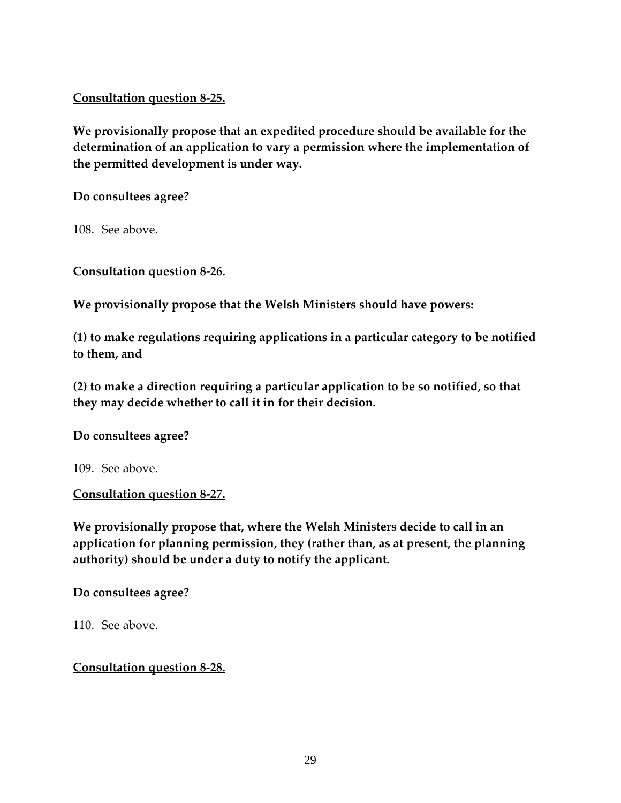## **Consultation question 8-25.**

**We provisionally propose that an expedited procedure should be available for the determination of an application to vary a permission where the implementation of the permitted development is under way.** 

**Do consultees agree?** 

108. See above.

**Consultation question 8-26.**

**We provisionally propose that the Welsh Ministers should have powers:** 

**(1) to make regulations requiring applications in a particular category to be notified to them, and** 

**(2) to make a direction requiring a particular application to be so notified, so that they may decide whether to call it in for their decision.** 

**Do consultees agree?** 

109. See above.

**Consultation question 8-27.** 

**We provisionally propose that, where the Welsh Ministers decide to call in an application for planning permission, they (rather than, as at present, the planning authority) should be under a duty to notify the applicant.** 

**Do consultees agree?** 

110. See above.

**Consultation question 8-28.**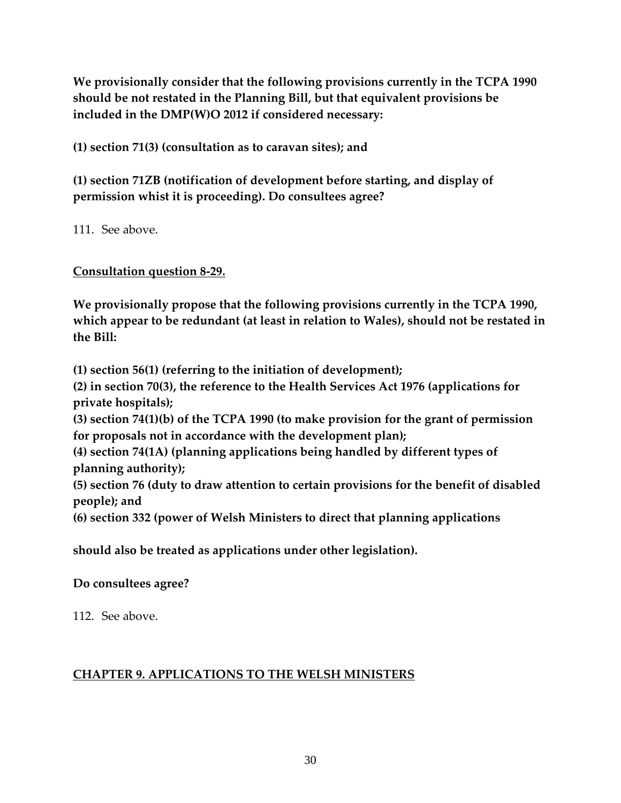**We provisionally consider that the following provisions currently in the TCPA 1990 should be not restated in the Planning Bill, but that equivalent provisions be included in the DMP(W)O 2012 if considered necessary:** 

**(1) section 71(3) (consultation as to caravan sites); and** 

**(1) section 71ZB (notification of development before starting, and display of permission whist it is proceeding). Do consultees agree?** 

111. See above.

**Consultation question 8-29.** 

**We provisionally propose that the following provisions currently in the TCPA 1990, which appear to be redundant (at least in relation to Wales), should not be restated in the Bill:** 

**(1) section 56(1) (referring to the initiation of development); (2) in section 70(3), the reference to the Health Services Act 1976 (applications for private hospitals); (3) section 74(1)(b) of the TCPA 1990 (to make provision for the grant of permission for proposals not in accordance with the development plan); (4) section 74(1A) (planning applications being handled by different types of planning authority); (5) section 76 (duty to draw attention to certain provisions for the benefit of disabled people); and (6) section 332 (power of Welsh Ministers to direct that planning applications** 

**should also be treated as applications under other legislation).** 

**Do consultees agree?** 

112. See above.

# **CHAPTER 9. APPLICATIONS TO THE WELSH MINISTERS**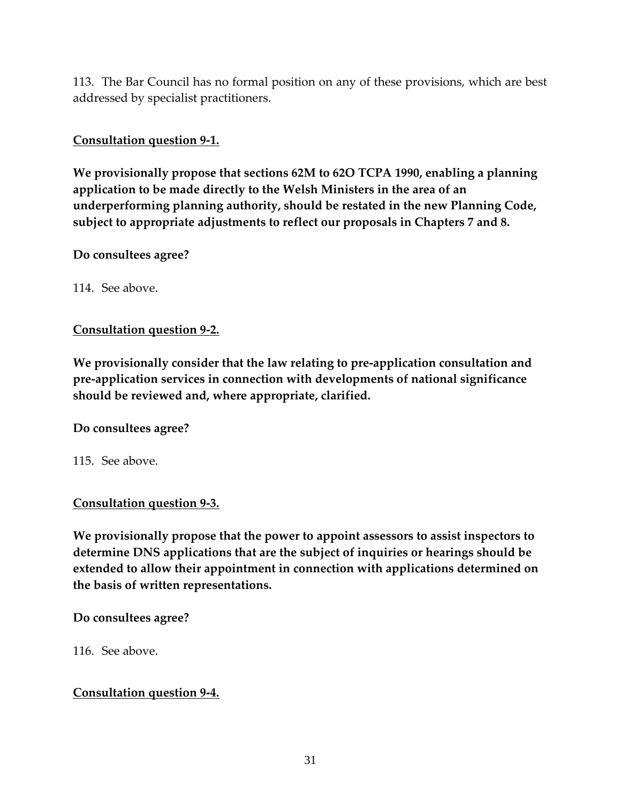113. The Bar Council has no formal position on any of these provisions, which are best addressed by specialist practitioners.

## **Consultation question 9-1.**

**We provisionally propose that sections 62M to 62O TCPA 1990, enabling a planning application to be made directly to the Welsh Ministers in the area of an underperforming planning authority, should be restated in the new Planning Code, subject to appropriate adjustments to reflect our proposals in Chapters 7 and 8.** 

### **Do consultees agree?**

114. See above.

## **Consultation question 9-2.**

**We provisionally consider that the law relating to pre-application consultation and pre-application services in connection with developments of national significance should be reviewed and, where appropriate, clarified.** 

#### **Do consultees agree?**

115. See above.

## **Consultation question 9-3.**

**We provisionally propose that the power to appoint assessors to assist inspectors to determine DNS applications that are the subject of inquiries or hearings should be extended to allow their appointment in connection with applications determined on the basis of written representations.** 

#### **Do consultees agree?**

116. See above.

## **Consultation question 9-4.**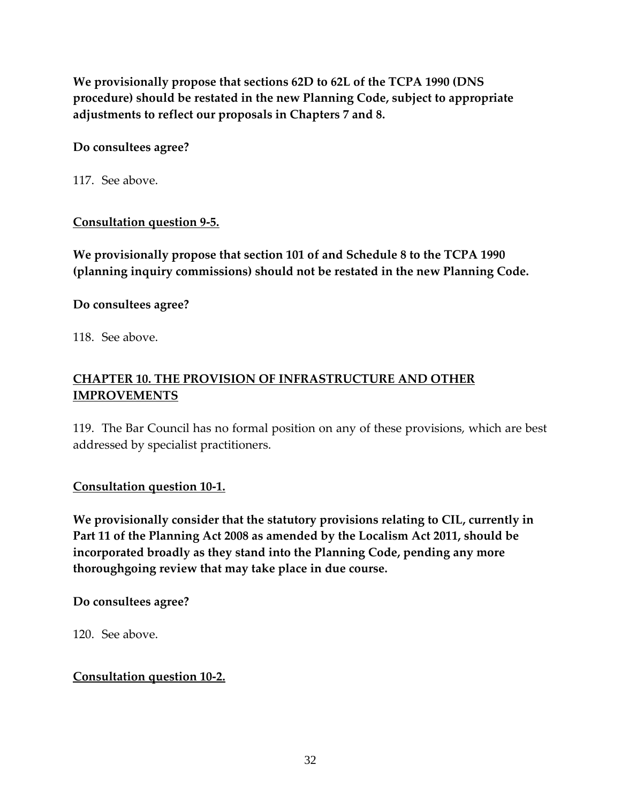**We provisionally propose that sections 62D to 62L of the TCPA 1990 (DNS procedure) should be restated in the new Planning Code, subject to appropriate adjustments to reflect our proposals in Chapters 7 and 8.** 

## **Do consultees agree?**

117. See above.

## **Consultation question 9-5.**

**We provisionally propose that section 101 of and Schedule 8 to the TCPA 1990 (planning inquiry commissions) should not be restated in the new Planning Code.** 

## **Do consultees agree?**

118. See above.

# **CHAPTER 10. THE PROVISION OF INFRASTRUCTURE AND OTHER IMPROVEMENTS**

119. The Bar Council has no formal position on any of these provisions, which are best addressed by specialist practitioners.

## **Consultation question 10-1.**

**We provisionally consider that the statutory provisions relating to CIL, currently in Part 11 of the Planning Act 2008 as amended by the Localism Act 2011, should be incorporated broadly as they stand into the Planning Code, pending any more thoroughgoing review that may take place in due course.** 

**Do consultees agree?** 

120. See above.

## **Consultation question 10-2.**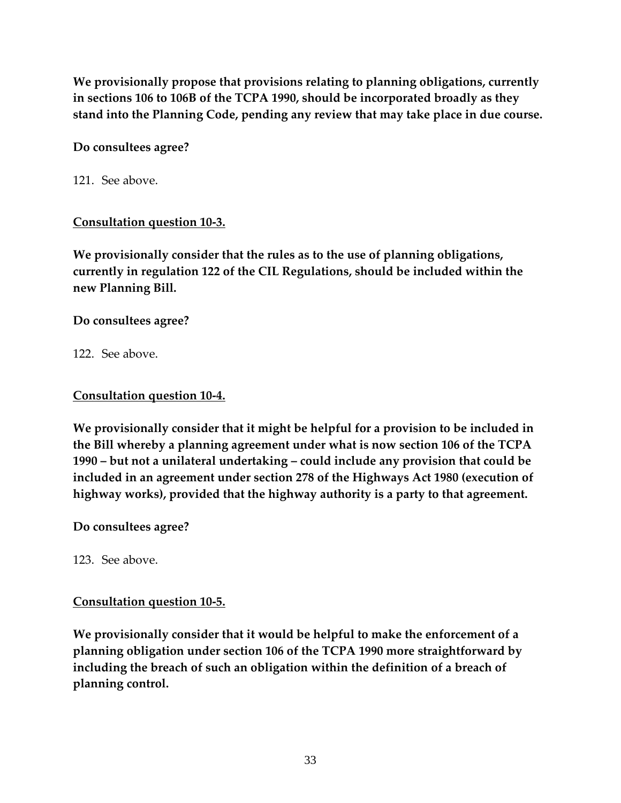**We provisionally propose that provisions relating to planning obligations, currently in sections 106 to 106B of the TCPA 1990, should be incorporated broadly as they stand into the Planning Code, pending any review that may take place in due course.** 

## **Do consultees agree?**

121. See above.

## **Consultation question 10-3.**

**We provisionally consider that the rules as to the use of planning obligations, currently in regulation 122 of the CIL Regulations, should be included within the new Planning Bill.** 

## **Do consultees agree?**

122. See above.

## **Consultation question 10-4.**

**We provisionally consider that it might be helpful for a provision to be included in the Bill whereby a planning agreement under what is now section 106 of the TCPA 1990 – but not a unilateral undertaking – could include any provision that could be included in an agreement under section 278 of the Highways Act 1980 (execution of highway works), provided that the highway authority is a party to that agreement.** 

**Do consultees agree?** 

123. See above.

# **Consultation question 10-5.**

**We provisionally consider that it would be helpful to make the enforcement of a planning obligation under section 106 of the TCPA 1990 more straightforward by including the breach of such an obligation within the definition of a breach of planning control.**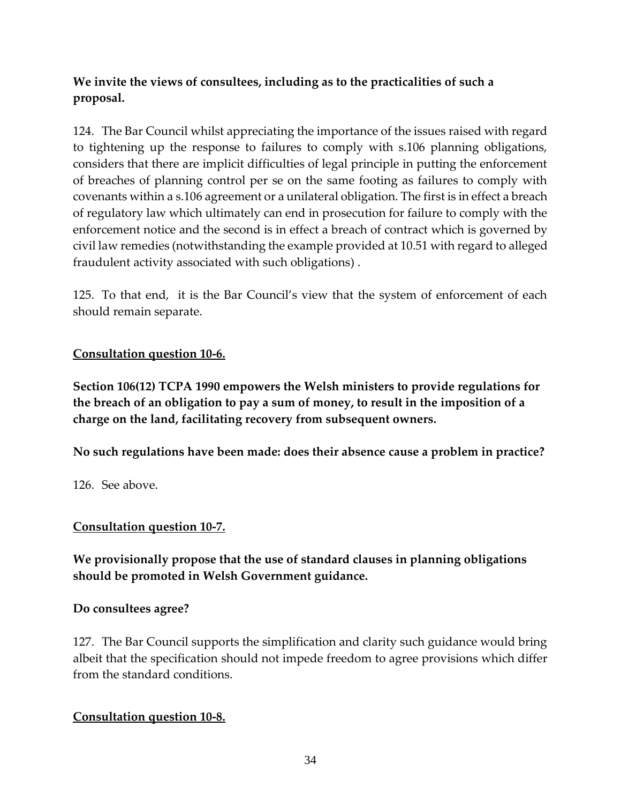# **We invite the views of consultees, including as to the practicalities of such a proposal.**

124. The Bar Council whilst appreciating the importance of the issues raised with regard to tightening up the response to failures to comply with s.106 planning obligations, considers that there are implicit difficulties of legal principle in putting the enforcement of breaches of planning control per se on the same footing as failures to comply with covenants within a s.106 agreement or a unilateral obligation. The first is in effect a breach of regulatory law which ultimately can end in prosecution for failure to comply with the enforcement notice and the second is in effect a breach of contract which is governed by civil law remedies (notwithstanding the example provided at 10.51 with regard to alleged fraudulent activity associated with such obligations) .

125. To that end, it is the Bar Council's view that the system of enforcement of each should remain separate.

## **Consultation question 10-6.**

**Section 106(12) TCPA 1990 empowers the Welsh ministers to provide regulations for the breach of an obligation to pay a sum of money, to result in the imposition of a charge on the land, facilitating recovery from subsequent owners.** 

**No such regulations have been made: does their absence cause a problem in practice?** 

126. See above.

## **Consultation question 10-7.**

**We provisionally propose that the use of standard clauses in planning obligations should be promoted in Welsh Government guidance.** 

## **Do consultees agree?**

127. The Bar Council supports the simplification and clarity such guidance would bring albeit that the specification should not impede freedom to agree provisions which differ from the standard conditions.

## **Consultation question 10-8.**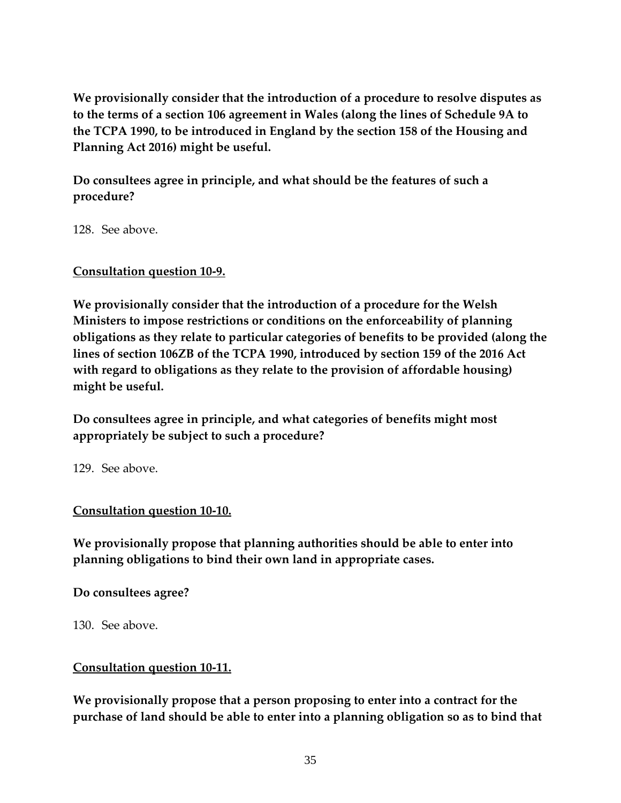**We provisionally consider that the introduction of a procedure to resolve disputes as to the terms of a section 106 agreement in Wales (along the lines of Schedule 9A to the TCPA 1990, to be introduced in England by the section 158 of the Housing and Planning Act 2016) might be useful.** 

**Do consultees agree in principle, and what should be the features of such a procedure?** 

128. See above.

**Consultation question 10-9.** 

**We provisionally consider that the introduction of a procedure for the Welsh Ministers to impose restrictions or conditions on the enforceability of planning obligations as they relate to particular categories of benefits to be provided (along the lines of section 106ZB of the TCPA 1990, introduced by section 159 of the 2016 Act with regard to obligations as they relate to the provision of affordable housing) might be useful.** 

**Do consultees agree in principle, and what categories of benefits might most appropriately be subject to such a procedure?** 

129. See above.

**Consultation question 10-10.** 

**We provisionally propose that planning authorities should be able to enter into planning obligations to bind their own land in appropriate cases.** 

**Do consultees agree?** 

130. See above.

# **Consultation question 10-11.**

**We provisionally propose that a person proposing to enter into a contract for the purchase of land should be able to enter into a planning obligation so as to bind that**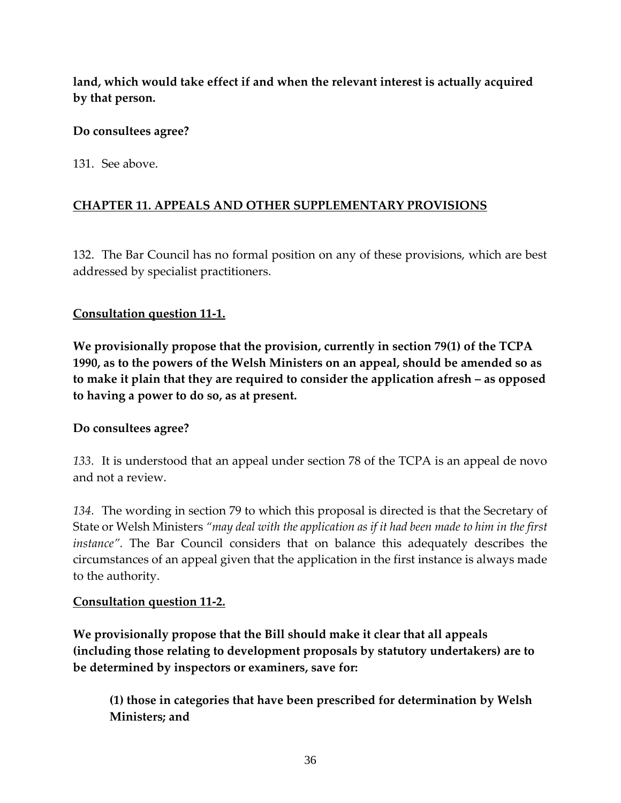**land, which would take effect if and when the relevant interest is actually acquired by that person.** 

## **Do consultees agree?**

131. See above.

# **CHAPTER 11. APPEALS AND OTHER SUPPLEMENTARY PROVISIONS**

132. The Bar Council has no formal position on any of these provisions, which are best addressed by specialist practitioners.

## **Consultation question 11-1.**

**We provisionally propose that the provision, currently in section 79(1) of the TCPA 1990, as to the powers of the Welsh Ministers on an appeal, should be amended so as to make it plain that they are required to consider the application afresh – as opposed to having a power to do so, as at present.** 

## **Do consultees agree?**

*133.* It is understood that an appeal under section 78 of the TCPA is an appeal de novo and not a review.

*134.* The wording in section 79 to which this proposal is directed is that the Secretary of State or Welsh Ministers *"may deal with the application as if it had been made to him in the first instance".* The Bar Council considers that on balance this adequately describes the circumstances of an appeal given that the application in the first instance is always made to the authority.

## **Consultation question 11-2.**

**We provisionally propose that the Bill should make it clear that all appeals (including those relating to development proposals by statutory undertakers) are to be determined by inspectors or examiners, save for:** 

**(1) those in categories that have been prescribed for determination by Welsh Ministers; and**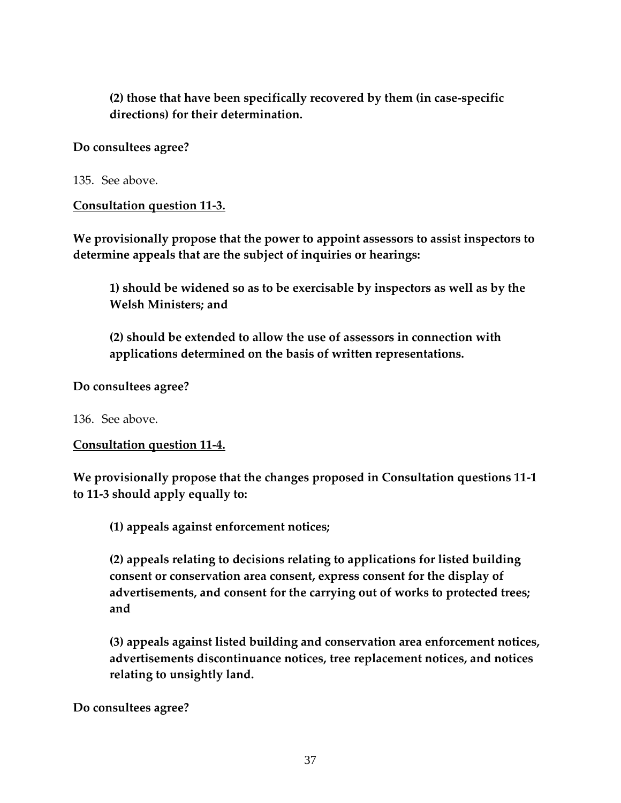**(2) those that have been specifically recovered by them (in case-specific directions) for their determination.** 

#### **Do consultees agree?**

135. See above.

**Consultation question 11-3.** 

**We provisionally propose that the power to appoint assessors to assist inspectors to determine appeals that are the subject of inquiries or hearings:** 

**1) should be widened so as to be exercisable by inspectors as well as by the Welsh Ministers; and** 

**(2) should be extended to allow the use of assessors in connection with applications determined on the basis of written representations.** 

**Do consultees agree?** 

136. See above.

**Consultation question 11-4.** 

**We provisionally propose that the changes proposed in Consultation questions 11-1 to 11-3 should apply equally to:** 

**(1) appeals against enforcement notices;** 

**(2) appeals relating to decisions relating to applications for listed building consent or conservation area consent, express consent for the display of advertisements, and consent for the carrying out of works to protected trees; and** 

**(3) appeals against listed building and conservation area enforcement notices, advertisements discontinuance notices, tree replacement notices, and notices relating to unsightly land.** 

**Do consultees agree?**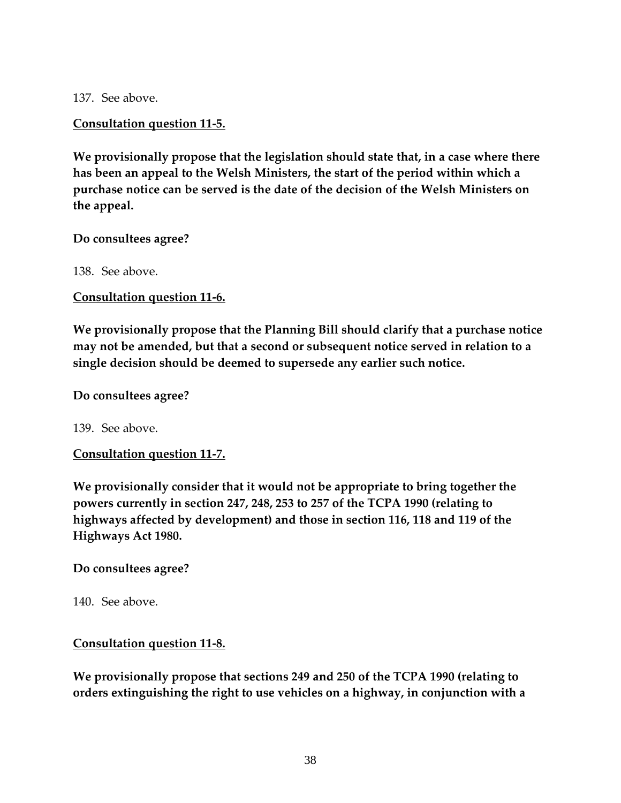137. See above.

#### **Consultation question 11-5.**

**We provisionally propose that the legislation should state that, in a case where there has been an appeal to the Welsh Ministers, the start of the period within which a purchase notice can be served is the date of the decision of the Welsh Ministers on the appeal.** 

#### **Do consultees agree?**

138. See above.

**Consultation question 11-6.** 

**We provisionally propose that the Planning Bill should clarify that a purchase notice may not be amended, but that a second or subsequent notice served in relation to a single decision should be deemed to supersede any earlier such notice.** 

#### **Do consultees agree?**

139. See above.

**Consultation question 11-7.** 

**We provisionally consider that it would not be appropriate to bring together the powers currently in section 247, 248, 253 to 257 of the TCPA 1990 (relating to highways affected by development) and those in section 116, 118 and 119 of the Highways Act 1980.** 

**Do consultees agree?** 

140. See above.

#### **Consultation question 11-8.**

**We provisionally propose that sections 249 and 250 of the TCPA 1990 (relating to orders extinguishing the right to use vehicles on a highway, in conjunction with a**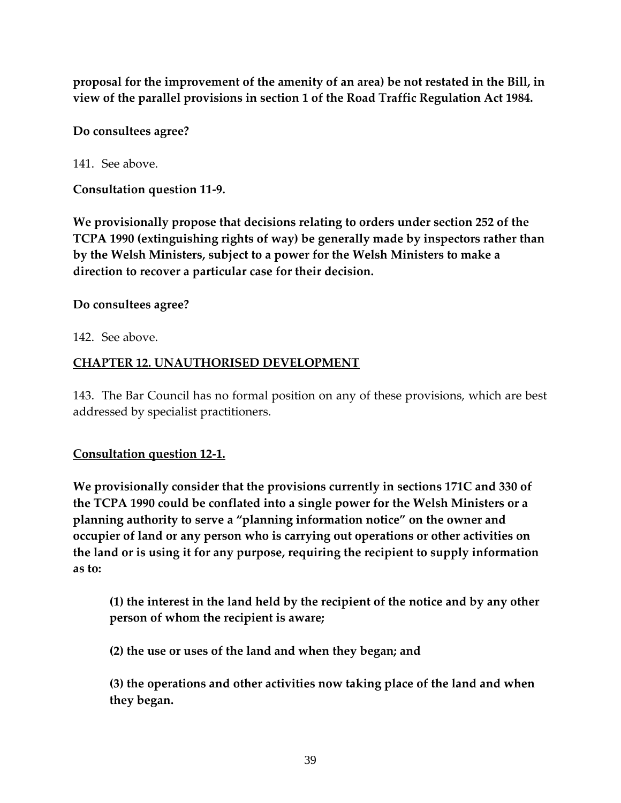**proposal for the improvement of the amenity of an area) be not restated in the Bill, in view of the parallel provisions in section 1 of the Road Traffic Regulation Act 1984.** 

**Do consultees agree?** 

141. See above.

**Consultation question 11-9.** 

**We provisionally propose that decisions relating to orders under section 252 of the TCPA 1990 (extinguishing rights of way) be generally made by inspectors rather than by the Welsh Ministers, subject to a power for the Welsh Ministers to make a direction to recover a particular case for their decision.** 

## **Do consultees agree?**

142. See above.

# **CHAPTER 12. UNAUTHORISED DEVELOPMENT**

143. The Bar Council has no formal position on any of these provisions, which are best addressed by specialist practitioners.

# **Consultation question 12-1.**

**We provisionally consider that the provisions currently in sections 171C and 330 of the TCPA 1990 could be conflated into a single power for the Welsh Ministers or a planning authority to serve a "planning information notice" on the owner and occupier of land or any person who is carrying out operations or other activities on the land or is using it for any purpose, requiring the recipient to supply information as to:** 

**(1) the interest in the land held by the recipient of the notice and by any other person of whom the recipient is aware;** 

**(2) the use or uses of the land and when they began; and** 

**(3) the operations and other activities now taking place of the land and when they began.**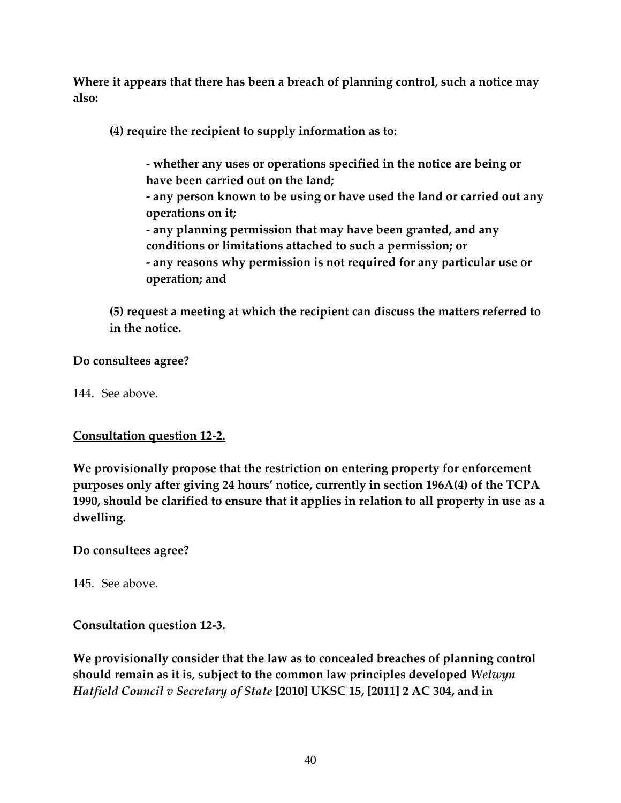**Where it appears that there has been a breach of planning control, such a notice may also:** 

**(4) require the recipient to supply information as to:** 

- **- whether any uses or operations specified in the notice are being or have been carried out on the land;**
- **- any person known to be using or have used the land or carried out any operations on it;**
- **- any planning permission that may have been granted, and any conditions or limitations attached to such a permission; or**
- **- any reasons why permission is not required for any particular use or operation; and**

**(5) request a meeting at which the recipient can discuss the matters referred to in the notice.** 

**Do consultees agree?** 

144. See above.

### **Consultation question 12-2.**

**We provisionally propose that the restriction on entering property for enforcement purposes only after giving 24 hours' notice, currently in section 196A(4) of the TCPA 1990, should be clarified to ensure that it applies in relation to all property in use as a dwelling.** 

### **Do consultees agree?**

145. See above.

### **Consultation question 12-3.**

**We provisionally consider that the law as to concealed breaches of planning control should remain as it is, subject to the common law principles developed** *Welwyn Hatfield Council v Secretary of State* **[2010] UKSC 15, [2011] 2 AC 304, and in**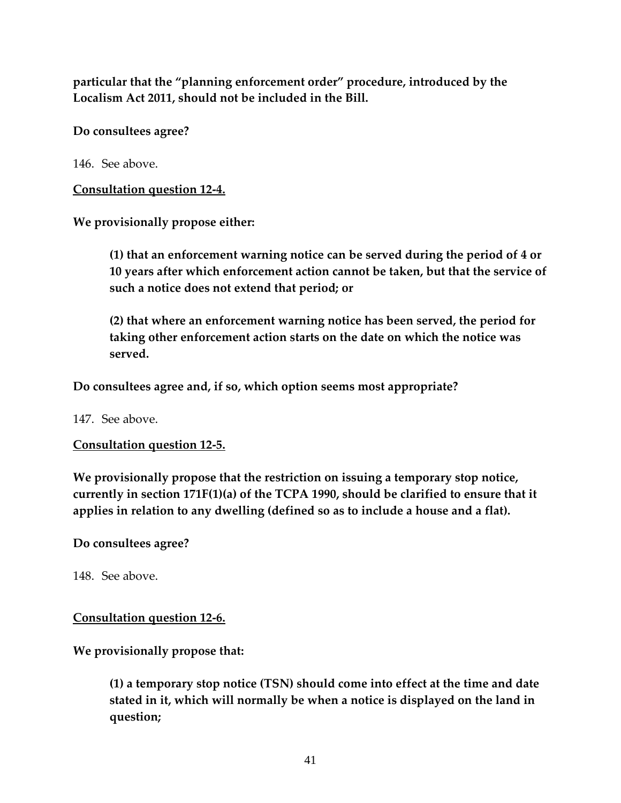**particular that the "planning enforcement order" procedure, introduced by the Localism Act 2011, should not be included in the Bill.** 

**Do consultees agree?** 

146. See above.

**Consultation question 12-4.** 

**We provisionally propose either:** 

**(1) that an enforcement warning notice can be served during the period of 4 or 10 years after which enforcement action cannot be taken, but that the service of such a notice does not extend that period; or** 

**(2) that where an enforcement warning notice has been served, the period for taking other enforcement action starts on the date on which the notice was served.** 

**Do consultees agree and, if so, which option seems most appropriate?**

147. See above.

**Consultation question 12-5.** 

**We provisionally propose that the restriction on issuing a temporary stop notice, currently in section 171F(1)(a) of the TCPA 1990, should be clarified to ensure that it applies in relation to any dwelling (defined so as to include a house and a flat).** 

**Do consultees agree?** 

148. See above.

### **Consultation question 12-6.**

**We provisionally propose that:** 

**(1) a temporary stop notice (TSN) should come into effect at the time and date stated in it, which will normally be when a notice is displayed on the land in question;**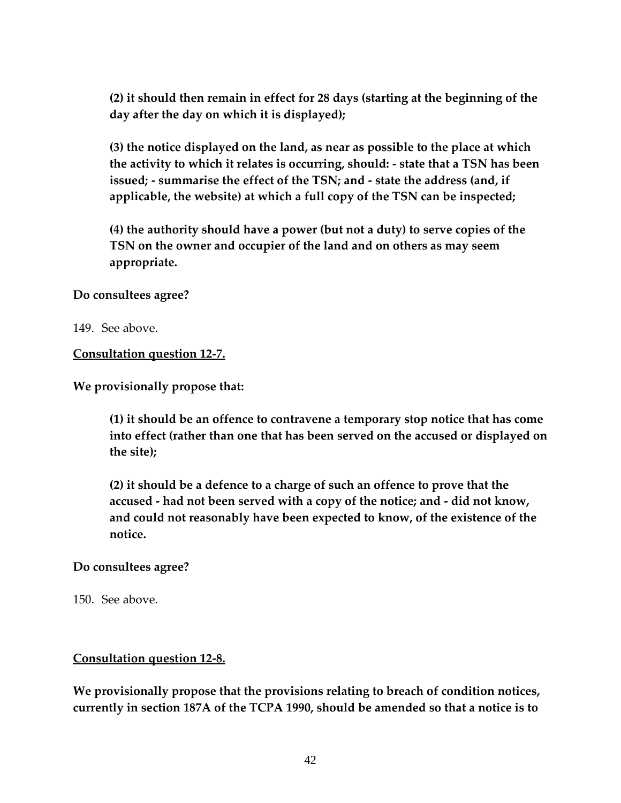**(2) it should then remain in effect for 28 days (starting at the beginning of the day after the day on which it is displayed);** 

**(3) the notice displayed on the land, as near as possible to the place at which the activity to which it relates is occurring, should: - state that a TSN has been issued; - summarise the effect of the TSN; and - state the address (and, if applicable, the website) at which a full copy of the TSN can be inspected;** 

**(4) the authority should have a power (but not a duty) to serve copies of the TSN on the owner and occupier of the land and on others as may seem appropriate.** 

**Do consultees agree?** 

149. See above.

**Consultation question 12-7.** 

**We provisionally propose that:** 

**(1) it should be an offence to contravene a temporary stop notice that has come into effect (rather than one that has been served on the accused or displayed on the site);** 

**(2) it should be a defence to a charge of such an offence to prove that the accused - had not been served with a copy of the notice; and - did not know, and could not reasonably have been expected to know, of the existence of the notice.** 

#### **Do consultees agree?**

150. See above.

#### **Consultation question 12-8.**

**We provisionally propose that the provisions relating to breach of condition notices, currently in section 187A of the TCPA 1990, should be amended so that a notice is to**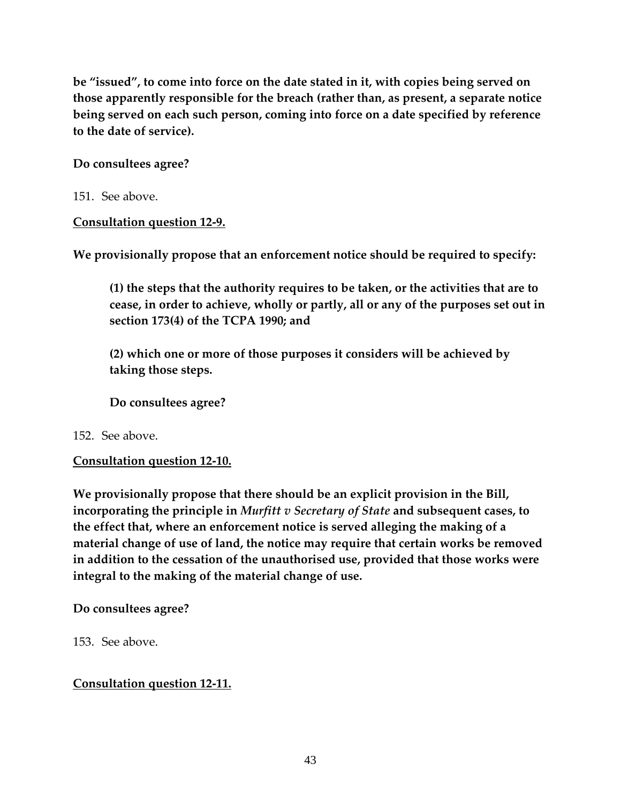**be "issued", to come into force on the date stated in it, with copies being served on those apparently responsible for the breach (rather than, as present, a separate notice being served on each such person, coming into force on a date specified by reference to the date of service).** 

### **Do consultees agree?**

151. See above.

**Consultation question 12-9.** 

**We provisionally propose that an enforcement notice should be required to specify:** 

**(1) the steps that the authority requires to be taken, or the activities that are to cease, in order to achieve, wholly or partly, all or any of the purposes set out in section 173(4) of the TCPA 1990; and** 

**(2) which one or more of those purposes it considers will be achieved by taking those steps.** 

**Do consultees agree?** 

# 152. See above.

# **Consultation question 12-10.**

**We provisionally propose that there should be an explicit provision in the Bill, incorporating the principle in** *Murfitt v Secretary of State* **and subsequent cases, to the effect that, where an enforcement notice is served alleging the making of a material change of use of land, the notice may require that certain works be removed in addition to the cessation of the unauthorised use, provided that those works were integral to the making of the material change of use.** 

# **Do consultees agree?**

153. See above.

# **Consultation question 12-11.**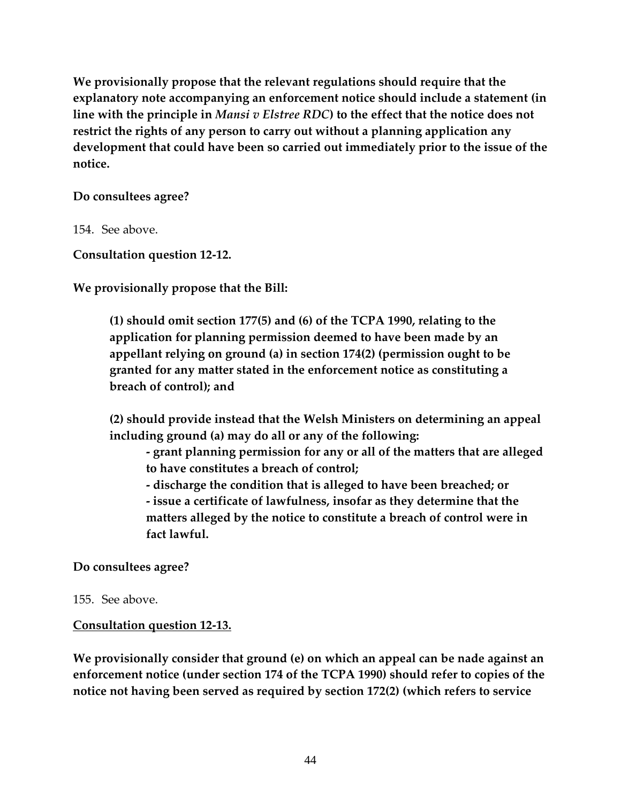**We provisionally propose that the relevant regulations should require that the explanatory note accompanying an enforcement notice should include a statement (in line with the principle in** *Mansi v Elstree RDC***) to the effect that the notice does not restrict the rights of any person to carry out without a planning application any development that could have been so carried out immediately prior to the issue of the notice.** 

#### **Do consultees agree?**

154. See above.

**Consultation question 12-12.** 

**We provisionally propose that the Bill:** 

**(1) should omit section 177(5) and (6) of the TCPA 1990, relating to the application for planning permission deemed to have been made by an appellant relying on ground (a) in section 174(2) (permission ought to be granted for any matter stated in the enforcement notice as constituting a breach of control); and** 

**(2) should provide instead that the Welsh Ministers on determining an appeal including ground (a) may do all or any of the following:** 

**- grant planning permission for any or all of the matters that are alleged to have constitutes a breach of control;** 

**- discharge the condition that is alleged to have been breached; or - issue a certificate of lawfulness, insofar as they determine that the matters alleged by the notice to constitute a breach of control were in fact lawful.** 

### **Do consultees agree?**

#### 155. See above.

### **Consultation question 12-13.**

**We provisionally consider that ground (e) on which an appeal can be nade against an enforcement notice (under section 174 of the TCPA 1990) should refer to copies of the notice not having been served as required by section 172(2) (which refers to service**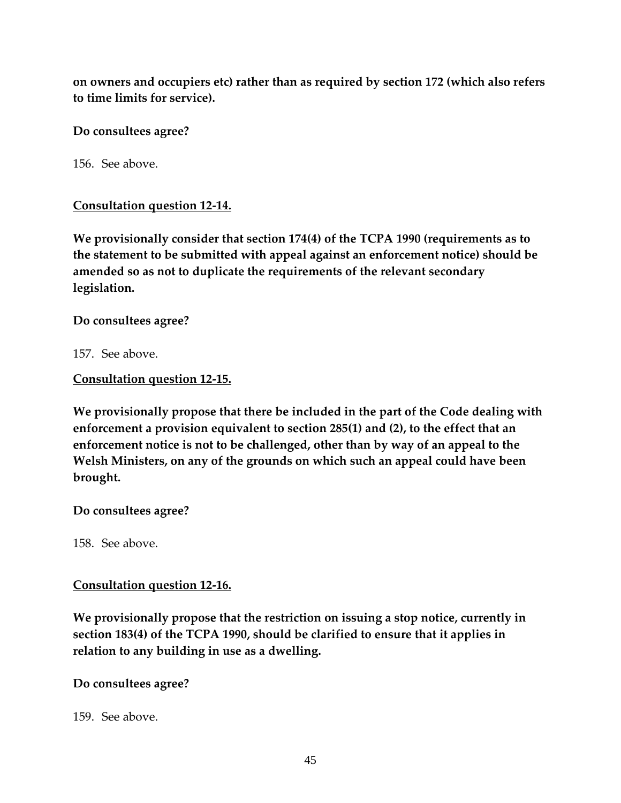**on owners and occupiers etc) rather than as required by section 172 (which also refers to time limits for service).** 

**Do consultees agree?**

156. See above.

**Consultation question 12-14.** 

**We provisionally consider that section 174(4) of the TCPA 1990 (requirements as to the statement to be submitted with appeal against an enforcement notice) should be amended so as not to duplicate the requirements of the relevant secondary legislation.** 

**Do consultees agree?** 

157. See above.

**Consultation question 12-15.** 

**We provisionally propose that there be included in the part of the Code dealing with enforcement a provision equivalent to section 285(1) and (2), to the effect that an enforcement notice is not to be challenged, other than by way of an appeal to the Welsh Ministers, on any of the grounds on which such an appeal could have been brought.** 

**Do consultees agree?** 

158. See above.

#### **Consultation question 12-16.**

**We provisionally propose that the restriction on issuing a stop notice, currently in section 183(4) of the TCPA 1990, should be clarified to ensure that it applies in relation to any building in use as a dwelling.** 

### **Do consultees agree?**

159. See above.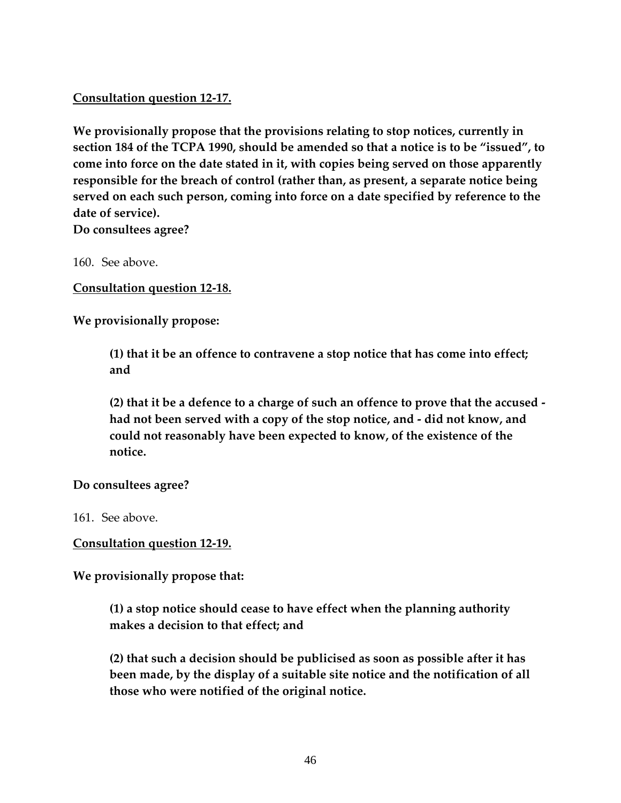## **Consultation question 12-17.**

**We provisionally propose that the provisions relating to stop notices, currently in section 184 of the TCPA 1990, should be amended so that a notice is to be "issued", to come into force on the date stated in it, with copies being served on those apparently responsible for the breach of control (rather than, as present, a separate notice being served on each such person, coming into force on a date specified by reference to the date of service).** 

**Do consultees agree?** 

160. See above.

**Consultation question 12-18.** 

**We provisionally propose:** 

**(1) that it be an offence to contravene a stop notice that has come into effect; and** 

**(2) that it be a defence to a charge of such an offence to prove that the accused had not been served with a copy of the stop notice, and - did not know, and could not reasonably have been expected to know, of the existence of the notice.** 

**Do consultees agree?** 

161. See above.

**Consultation question 12-19.** 

**We provisionally propose that:** 

**(1) a stop notice should cease to have effect when the planning authority makes a decision to that effect; and** 

**(2) that such a decision should be publicised as soon as possible after it has been made, by the display of a suitable site notice and the notification of all those who were notified of the original notice.**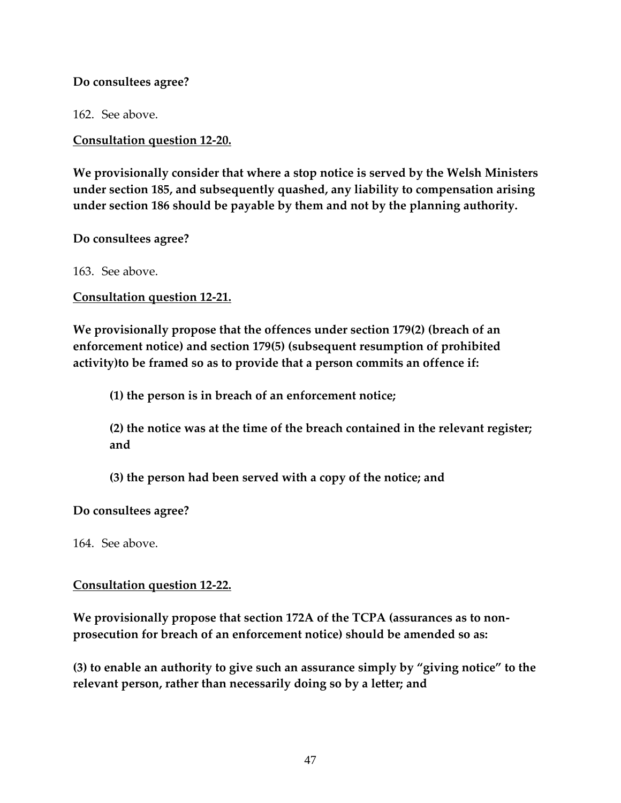#### **Do consultees agree?**

162. See above.

**Consultation question 12-20.** 

**We provisionally consider that where a stop notice is served by the Welsh Ministers under section 185, and subsequently quashed, any liability to compensation arising under section 186 should be payable by them and not by the planning authority.** 

**Do consultees agree?** 

163. See above.

**Consultation question 12-21.** 

**We provisionally propose that the offences under section 179(2) (breach of an enforcement notice) and section 179(5) (subsequent resumption of prohibited activity)to be framed so as to provide that a person commits an offence if:** 

**(1) the person is in breach of an enforcement notice;** 

**(2) the notice was at the time of the breach contained in the relevant register; and** 

**(3) the person had been served with a copy of the notice; and** 

**Do consultees agree?** 

164. See above.

### **Consultation question 12-22.**

**We provisionally propose that section 172A of the TCPA (assurances as to nonprosecution for breach of an enforcement notice) should be amended so as:** 

**(3) to enable an authority to give such an assurance simply by "giving notice" to the relevant person, rather than necessarily doing so by a letter; and**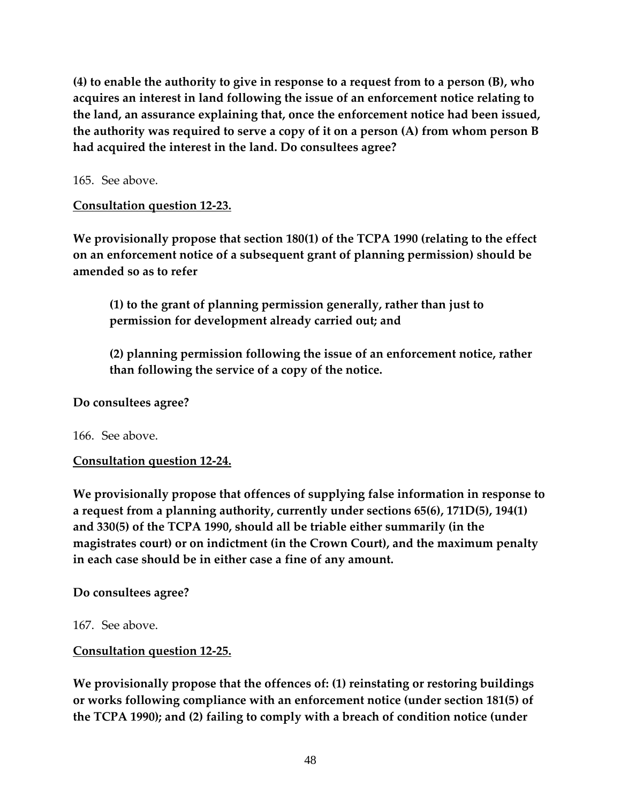**(4) to enable the authority to give in response to a request from to a person (B), who acquires an interest in land following the issue of an enforcement notice relating to the land, an assurance explaining that, once the enforcement notice had been issued, the authority was required to serve a copy of it on a person (A) from whom person B had acquired the interest in the land. Do consultees agree?**

165. See above.

**Consultation question 12-23.** 

**We provisionally propose that section 180(1) of the TCPA 1990 (relating to the effect on an enforcement notice of a subsequent grant of planning permission) should be amended so as to refer** 

**(1) to the grant of planning permission generally, rather than just to permission for development already carried out; and** 

**(2) planning permission following the issue of an enforcement notice, rather than following the service of a copy of the notice.** 

#### **Do consultees agree?**

166. See above.

### **Consultation question 12-24.**

**We provisionally propose that offences of supplying false information in response to a request from a planning authority, currently under sections 65(6), 171D(5), 194(1) and 330(5) of the TCPA 1990, should all be triable either summarily (in the magistrates court) or on indictment (in the Crown Court), and the maximum penalty in each case should be in either case a fine of any amount.** 

### **Do consultees agree?**

167. See above.

### **Consultation question 12-25.**

**We provisionally propose that the offences of: (1) reinstating or restoring buildings or works following compliance with an enforcement notice (under section 181(5) of the TCPA 1990); and (2) failing to comply with a breach of condition notice (under**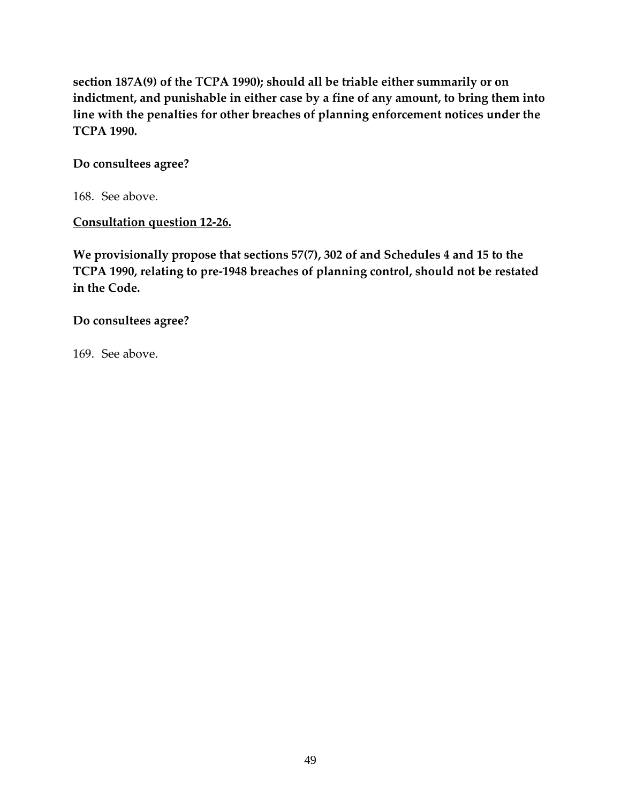**section 187A(9) of the TCPA 1990); should all be triable either summarily or on indictment, and punishable in either case by a fine of any amount, to bring them into line with the penalties for other breaches of planning enforcement notices under the TCPA 1990.** 

#### **Do consultees agree?**

168. See above.

## **Consultation question 12-26.**

**We provisionally propose that sections 57(7), 302 of and Schedules 4 and 15 to the TCPA 1990, relating to pre-1948 breaches of planning control, should not be restated in the Code.** 

**Do consultees agree?** 

169. See above.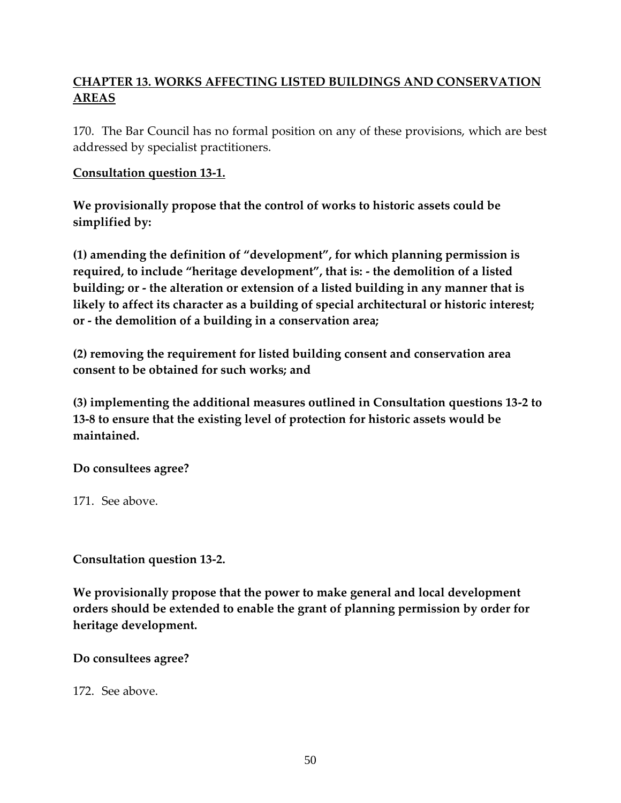# **CHAPTER 13. WORKS AFFECTING LISTED BUILDINGS AND CONSERVATION AREAS**

170. The Bar Council has no formal position on any of these provisions, which are best addressed by specialist practitioners.

### **Consultation question 13-1.**

**We provisionally propose that the control of works to historic assets could be simplified by:** 

**(1) amending the definition of "development", for which planning permission is required, to include "heritage development", that is: - the demolition of a listed building; or - the alteration or extension of a listed building in any manner that is likely to affect its character as a building of special architectural or historic interest; or - the demolition of a building in a conservation area;** 

**(2) removing the requirement for listed building consent and conservation area consent to be obtained for such works; and** 

**(3) implementing the additional measures outlined in Consultation questions 13-2 to 13-8 to ensure that the existing level of protection for historic assets would be maintained.** 

**Do consultees agree?** 

171. See above.

**Consultation question 13-2.** 

**We provisionally propose that the power to make general and local development orders should be extended to enable the grant of planning permission by order for heritage development.** 

**Do consultees agree?** 

172. See above.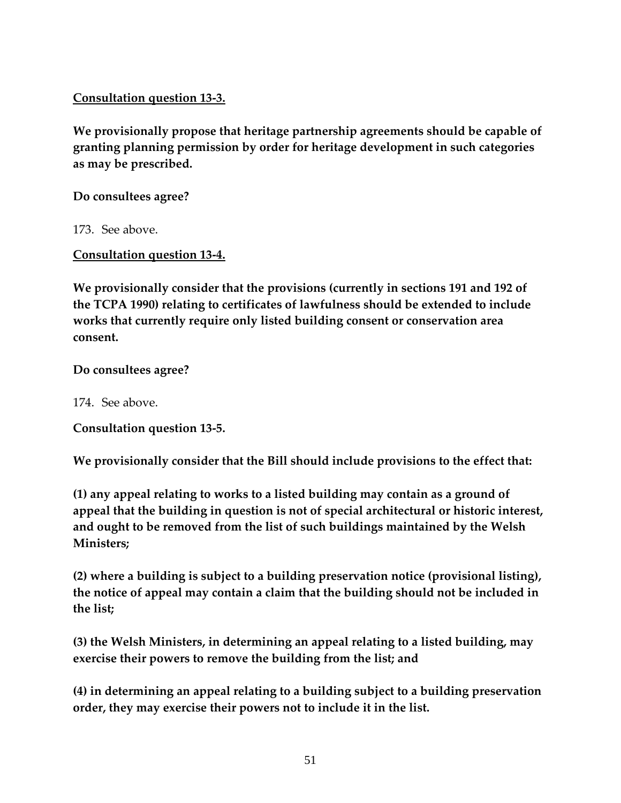**Consultation question 13-3.** 

**We provisionally propose that heritage partnership agreements should be capable of granting planning permission by order for heritage development in such categories as may be prescribed.** 

**Do consultees agree?** 

173. See above.

**Consultation question 13-4.** 

**We provisionally consider that the provisions (currently in sections 191 and 192 of the TCPA 1990) relating to certificates of lawfulness should be extended to include works that currently require only listed building consent or conservation area consent.** 

**Do consultees agree?** 

174. See above.

**Consultation question 13-5.** 

**We provisionally consider that the Bill should include provisions to the effect that:** 

**(1) any appeal relating to works to a listed building may contain as a ground of appeal that the building in question is not of special architectural or historic interest, and ought to be removed from the list of such buildings maintained by the Welsh Ministers;** 

**(2) where a building is subject to a building preservation notice (provisional listing), the notice of appeal may contain a claim that the building should not be included in the list;** 

**(3) the Welsh Ministers, in determining an appeal relating to a listed building, may exercise their powers to remove the building from the list; and** 

**(4) in determining an appeal relating to a building subject to a building preservation order, they may exercise their powers not to include it in the list.**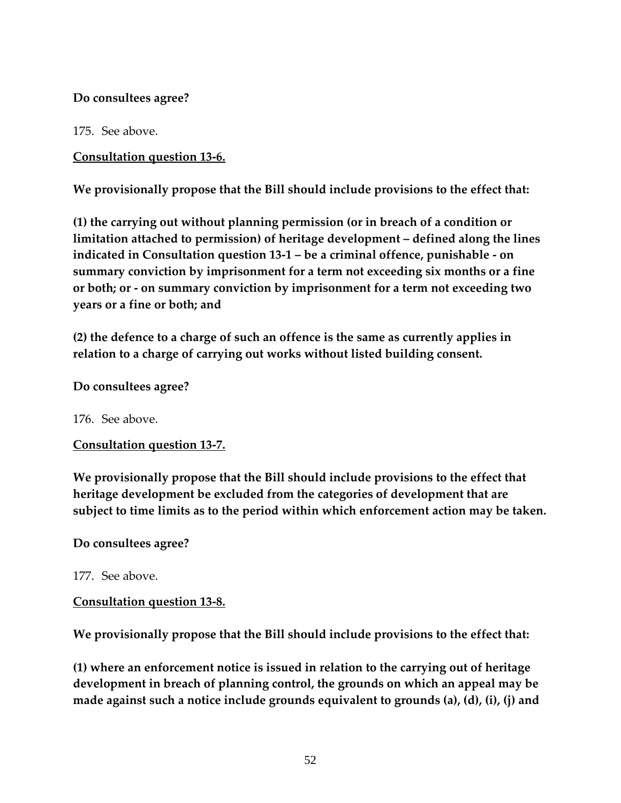## **Do consultees agree?**

175. See above.

**Consultation question 13-6.** 

**We provisionally propose that the Bill should include provisions to the effect that:** 

**(1) the carrying out without planning permission (or in breach of a condition or limitation attached to permission) of heritage development – defined along the lines indicated in Consultation question 13-1 – be a criminal offence, punishable - on summary conviction by imprisonment for a term not exceeding six months or a fine or both; or - on summary conviction by imprisonment for a term not exceeding two years or a fine or both; and** 

**(2) the defence to a charge of such an offence is the same as currently applies in relation to a charge of carrying out works without listed building consent.** 

**Do consultees agree?** 

176. See above.

**Consultation question 13-7.** 

**We provisionally propose that the Bill should include provisions to the effect that heritage development be excluded from the categories of development that are subject to time limits as to the period within which enforcement action may be taken.** 

**Do consultees agree?** 

177. See above.

### **Consultation question 13-8.**

**We provisionally propose that the Bill should include provisions to the effect that:** 

**(1) where an enforcement notice is issued in relation to the carrying out of heritage development in breach of planning control, the grounds on which an appeal may be made against such a notice include grounds equivalent to grounds (a), (d), (i), (j) and**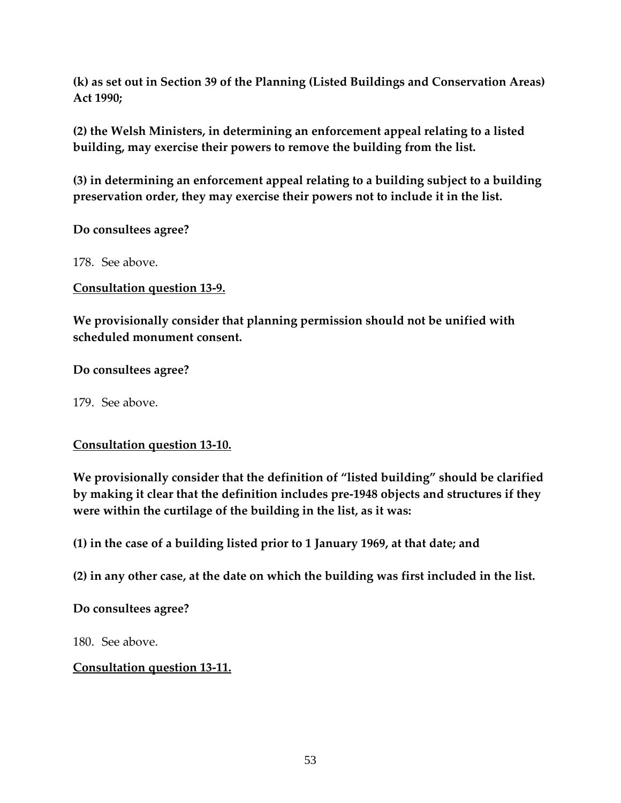**(k) as set out in Section 39 of the Planning (Listed Buildings and Conservation Areas) Act 1990;** 

**(2) the Welsh Ministers, in determining an enforcement appeal relating to a listed building, may exercise their powers to remove the building from the list.** 

**(3) in determining an enforcement appeal relating to a building subject to a building preservation order, they may exercise their powers not to include it in the list.** 

**Do consultees agree?** 

178. See above.

**Consultation question 13-9.** 

**We provisionally consider that planning permission should not be unified with scheduled monument consent.** 

**Do consultees agree?**

179. See above.

### **Consultation question 13-10.**

**We provisionally consider that the definition of "listed building" should be clarified by making it clear that the definition includes pre-1948 objects and structures if they were within the curtilage of the building in the list, as it was:** 

**(1) in the case of a building listed prior to 1 January 1969, at that date; and** 

**(2) in any other case, at the date on which the building was first included in the list.** 

### **Do consultees agree?**

180. See above.

### **Consultation question 13-11.**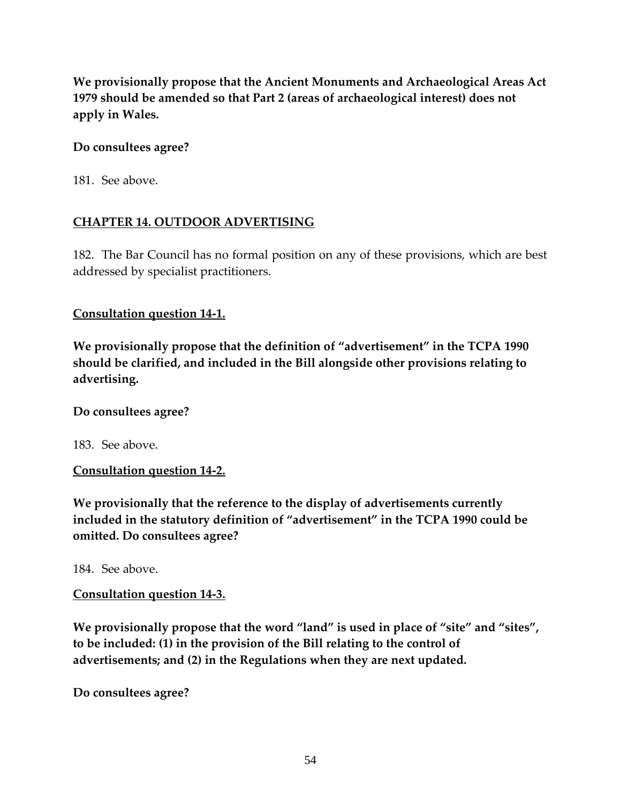**We provisionally propose that the Ancient Monuments and Archaeological Areas Act 1979 should be amended so that Part 2 (areas of archaeological interest) does not apply in Wales.** 

## **Do consultees agree?**

181. See above.

# **CHAPTER 14. OUTDOOR ADVERTISING**

182. The Bar Council has no formal position on any of these provisions, which are best addressed by specialist practitioners.

### **Consultation question 14-1.**

**We provisionally propose that the definition of "advertisement" in the TCPA 1990 should be clarified, and included in the Bill alongside other provisions relating to advertising.** 

### **Do consultees agree?**

183. See above.

# **Consultation question 14-2.**

**We provisionally that the reference to the display of advertisements currently included in the statutory definition of "advertisement" in the TCPA 1990 could be omitted. Do consultees agree?** 

184. See above.

# **Consultation question 14-3.**

**We provisionally propose that the word "land" is used in place of "site" and "sites", to be included: (1) in the provision of the Bill relating to the control of advertisements; and (2) in the Regulations when they are next updated.** 

**Do consultees agree?**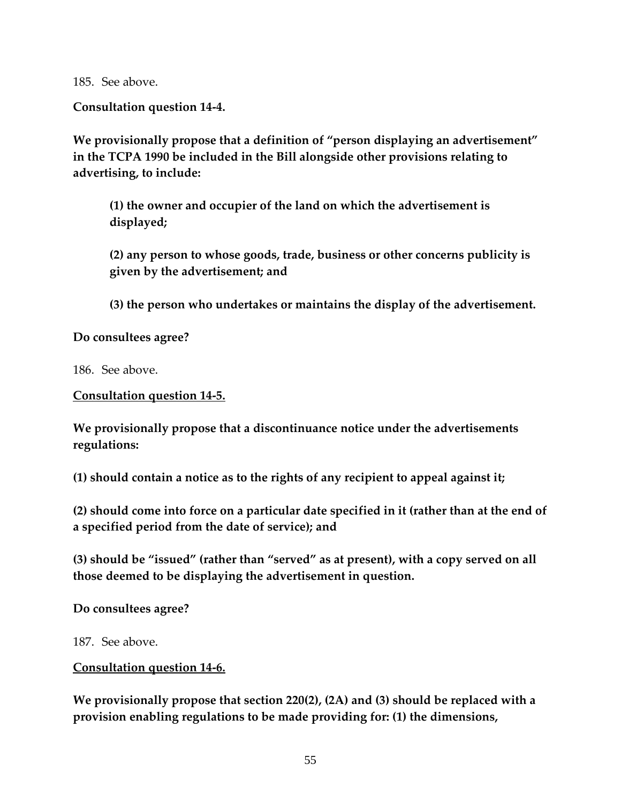185. See above.

**Consultation question 14-4.** 

**We provisionally propose that a definition of "person displaying an advertisement" in the TCPA 1990 be included in the Bill alongside other provisions relating to advertising, to include:** 

**(1) the owner and occupier of the land on which the advertisement is displayed;** 

**(2) any person to whose goods, trade, business or other concerns publicity is given by the advertisement; and** 

**(3) the person who undertakes or maintains the display of the advertisement.** 

**Do consultees agree?** 

186. See above.

**Consultation question 14-5.** 

**We provisionally propose that a discontinuance notice under the advertisements regulations:** 

**(1) should contain a notice as to the rights of any recipient to appeal against it;** 

**(2) should come into force on a particular date specified in it (rather than at the end of a specified period from the date of service); and** 

**(3) should be "issued" (rather than "served" as at present), with a copy served on all those deemed to be displaying the advertisement in question.** 

**Do consultees agree?** 

187. See above.

**Consultation question 14-6.** 

**We provisionally propose that section 220(2), (2A) and (3) should be replaced with a provision enabling regulations to be made providing for: (1) the dimensions,**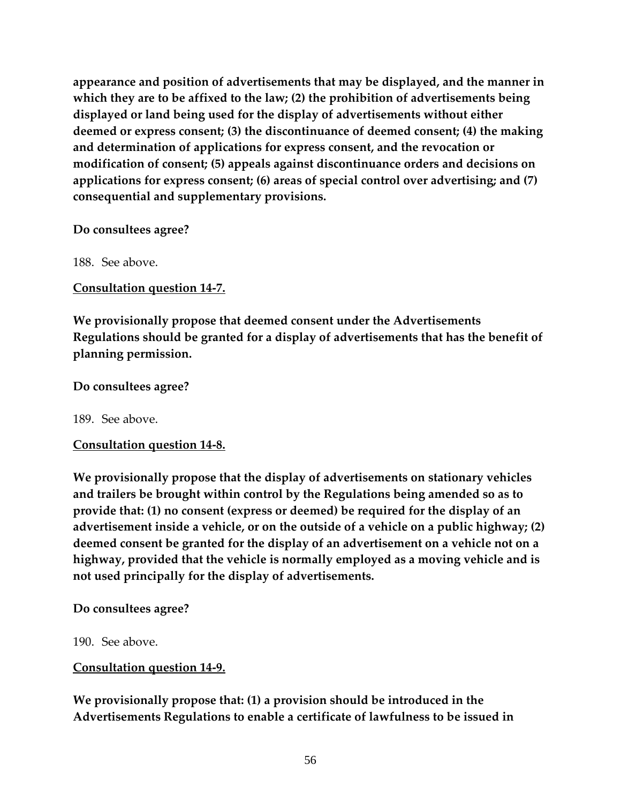**appearance and position of advertisements that may be displayed, and the manner in which they are to be affixed to the law; (2) the prohibition of advertisements being displayed or land being used for the display of advertisements without either deemed or express consent; (3) the discontinuance of deemed consent; (4) the making and determination of applications for express consent, and the revocation or modification of consent; (5) appeals against discontinuance orders and decisions on applications for express consent; (6) areas of special control over advertising; and (7) consequential and supplementary provisions.** 

#### **Do consultees agree?**

188. See above.

### **Consultation question 14-7.**

**We provisionally propose that deemed consent under the Advertisements Regulations should be granted for a display of advertisements that has the benefit of planning permission.** 

#### **Do consultees agree?**

189. See above.

### **Consultation question 14-8.**

**We provisionally propose that the display of advertisements on stationary vehicles and trailers be brought within control by the Regulations being amended so as to provide that: (1) no consent (express or deemed) be required for the display of an advertisement inside a vehicle, or on the outside of a vehicle on a public highway; (2) deemed consent be granted for the display of an advertisement on a vehicle not on a highway, provided that the vehicle is normally employed as a moving vehicle and is not used principally for the display of advertisements.** 

### **Do consultees agree?**

190. See above.

### **Consultation question 14-9.**

**We provisionally propose that: (1) a provision should be introduced in the Advertisements Regulations to enable a certificate of lawfulness to be issued in**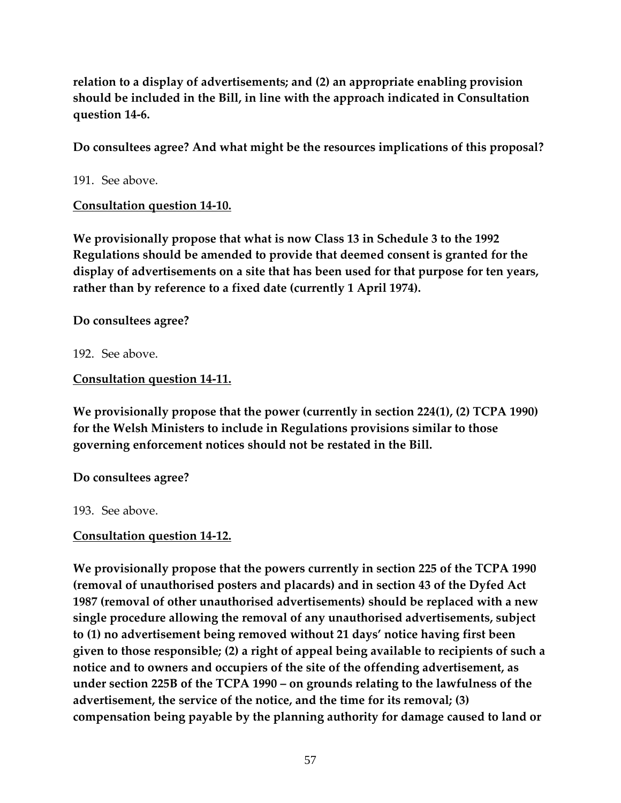**relation to a display of advertisements; and (2) an appropriate enabling provision should be included in the Bill, in line with the approach indicated in Consultation question 14-6.** 

**Do consultees agree? And what might be the resources implications of this proposal?** 

191. See above.

**Consultation question 14-10.** 

**We provisionally propose that what is now Class 13 in Schedule 3 to the 1992 Regulations should be amended to provide that deemed consent is granted for the display of advertisements on a site that has been used for that purpose for ten years, rather than by reference to a fixed date (currently 1 April 1974).** 

**Do consultees agree?** 

192. See above.

**Consultation question 14-11.** 

**We provisionally propose that the power (currently in section 224(1), (2) TCPA 1990) for the Welsh Ministers to include in Regulations provisions similar to those governing enforcement notices should not be restated in the Bill.** 

**Do consultees agree?** 

193. See above.

**Consultation question 14-12.** 

**We provisionally propose that the powers currently in section 225 of the TCPA 1990 (removal of unauthorised posters and placards) and in section 43 of the Dyfed Act 1987 (removal of other unauthorised advertisements) should be replaced with a new single procedure allowing the removal of any unauthorised advertisements, subject to (1) no advertisement being removed without 21 days' notice having first been given to those responsible; (2) a right of appeal being available to recipients of such a notice and to owners and occupiers of the site of the offending advertisement, as under section 225B of the TCPA 1990 – on grounds relating to the lawfulness of the advertisement, the service of the notice, and the time for its removal; (3) compensation being payable by the planning authority for damage caused to land or**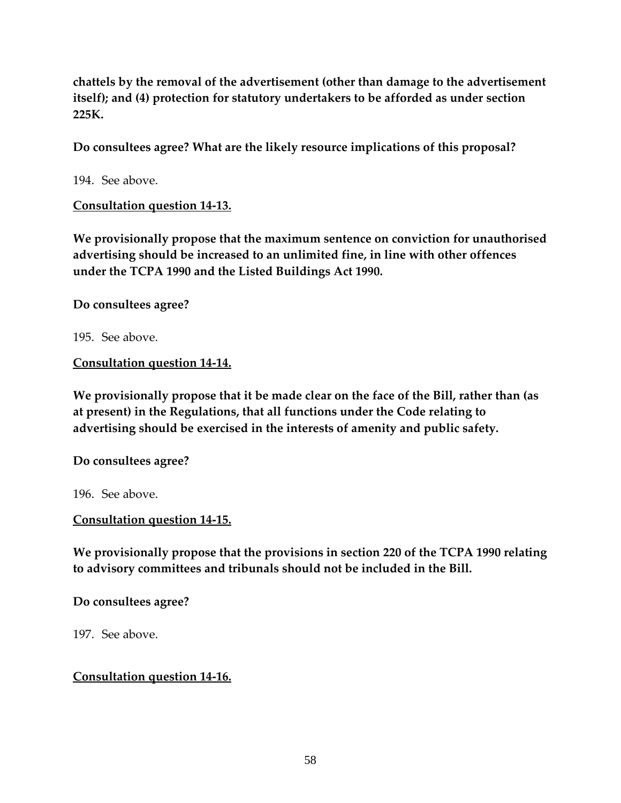**chattels by the removal of the advertisement (other than damage to the advertisement itself); and (4) protection for statutory undertakers to be afforded as under section 225K.** 

**Do consultees agree? What are the likely resource implications of this proposal?** 

194. See above.

**Consultation question 14-13.** 

**We provisionally propose that the maximum sentence on conviction for unauthorised advertising should be increased to an unlimited fine, in line with other offences under the TCPA 1990 and the Listed Buildings Act 1990.** 

**Do consultees agree?** 

195. See above.

**Consultation question 14-14.** 

**We provisionally propose that it be made clear on the face of the Bill, rather than (as at present) in the Regulations, that all functions under the Code relating to advertising should be exercised in the interests of amenity and public safety.** 

**Do consultees agree?** 

196. See above.

**Consultation question 14-15.** 

**We provisionally propose that the provisions in section 220 of the TCPA 1990 relating to advisory committees and tribunals should not be included in the Bill.** 

**Do consultees agree?** 

197. See above.

### **Consultation question 14-16.**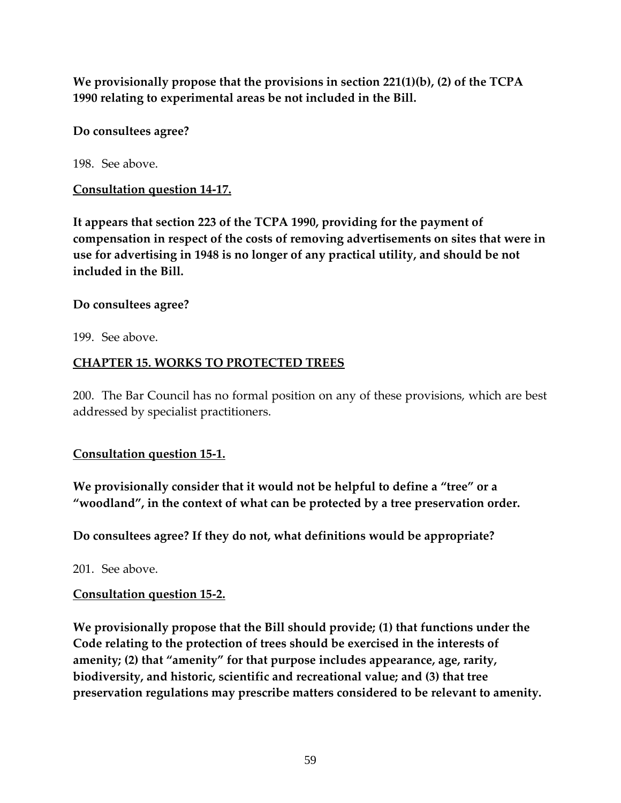**We provisionally propose that the provisions in section 221(1)(b), (2) of the TCPA 1990 relating to experimental areas be not included in the Bill.** 

**Do consultees agree?** 

198. See above.

# **Consultation question 14-17.**

**It appears that section 223 of the TCPA 1990, providing for the payment of compensation in respect of the costs of removing advertisements on sites that were in use for advertising in 1948 is no longer of any practical utility, and should be not included in the Bill.** 

# **Do consultees agree?**

199. See above.

# **CHAPTER 15. WORKS TO PROTECTED TREES**

200. The Bar Council has no formal position on any of these provisions, which are best addressed by specialist practitioners.

# **Consultation question 15-1.**

**We provisionally consider that it would not be helpful to define a "tree" or a "woodland", in the context of what can be protected by a tree preservation order.** 

**Do consultees agree? If they do not, what definitions would be appropriate?** 

201. See above.

# **Consultation question 15-2.**

**We provisionally propose that the Bill should provide; (1) that functions under the Code relating to the protection of trees should be exercised in the interests of amenity; (2) that "amenity" for that purpose includes appearance, age, rarity, biodiversity, and historic, scientific and recreational value; and (3) that tree preservation regulations may prescribe matters considered to be relevant to amenity.**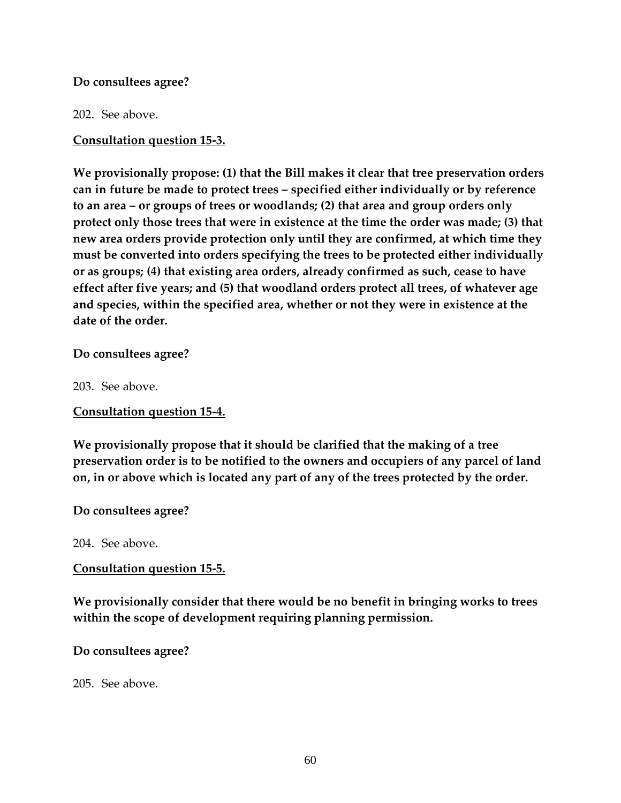#### **Do consultees agree?**

202. See above.

**Consultation question 15-3.** 

**We provisionally propose: (1) that the Bill makes it clear that tree preservation orders can in future be made to protect trees – specified either individually or by reference to an area – or groups of trees or woodlands; (2) that area and group orders only protect only those trees that were in existence at the time the order was made; (3) that new area orders provide protection only until they are confirmed, at which time they must be converted into orders specifying the trees to be protected either individually or as groups; (4) that existing area orders, already confirmed as such, cease to have effect after five years; and (5) that woodland orders protect all trees, of whatever age and species, within the specified area, whether or not they were in existence at the date of the order.** 

**Do consultees agree?** 

203. See above.

**Consultation question 15-4.** 

**We provisionally propose that it should be clarified that the making of a tree preservation order is to be notified to the owners and occupiers of any parcel of land on, in or above which is located any part of any of the trees protected by the order.** 

**Do consultees agree?** 

204. See above.

#### **Consultation question 15-5.**

**We provisionally consider that there would be no benefit in bringing works to trees within the scope of development requiring planning permission.** 

**Do consultees agree?** 

205. See above.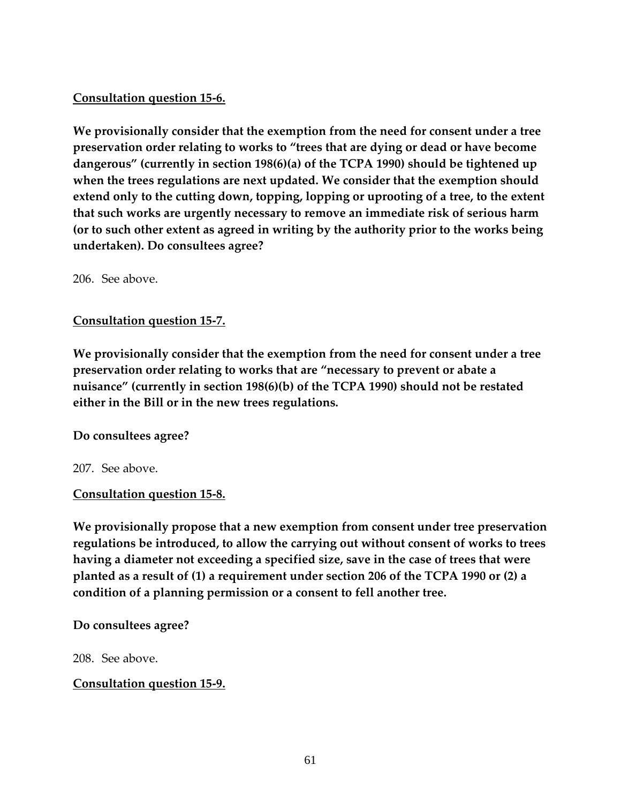# **Consultation question 15-6.**

**We provisionally consider that the exemption from the need for consent under a tree preservation order relating to works to "trees that are dying or dead or have become dangerous" (currently in section 198(6)(a) of the TCPA 1990) should be tightened up when the trees regulations are next updated. We consider that the exemption should extend only to the cutting down, topping, lopping or uprooting of a tree, to the extent that such works are urgently necessary to remove an immediate risk of serious harm (or to such other extent as agreed in writing by the authority prior to the works being undertaken). Do consultees agree?** 

206. See above.

### **Consultation question 15-7.**

**We provisionally consider that the exemption from the need for consent under a tree preservation order relating to works that are "necessary to prevent or abate a nuisance" (currently in section 198(6)(b) of the TCPA 1990) should not be restated either in the Bill or in the new trees regulations.** 

**Do consultees agree?** 

207. See above.

### **Consultation question 15-8.**

**We provisionally propose that a new exemption from consent under tree preservation regulations be introduced, to allow the carrying out without consent of works to trees having a diameter not exceeding a specified size, save in the case of trees that were planted as a result of (1) a requirement under section 206 of the TCPA 1990 or (2) a condition of a planning permission or a consent to fell another tree.** 

### **Do consultees agree?**

208. See above.

**Consultation question 15-9.**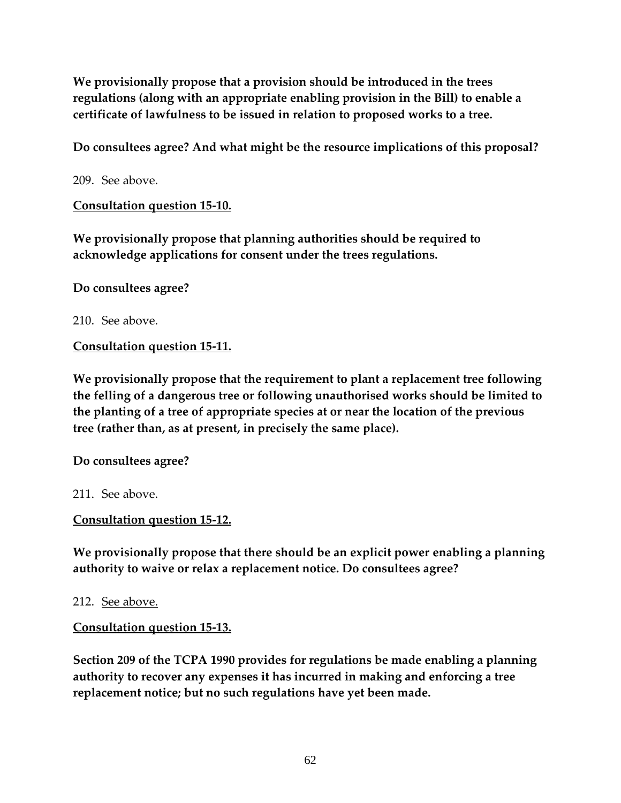**We provisionally propose that a provision should be introduced in the trees regulations (along with an appropriate enabling provision in the Bill) to enable a certificate of lawfulness to be issued in relation to proposed works to a tree.** 

**Do consultees agree? And what might be the resource implications of this proposal?** 

209. See above.

**Consultation question 15-10.** 

**We provisionally propose that planning authorities should be required to acknowledge applications for consent under the trees regulations.** 

**Do consultees agree?** 

210. See above.

**Consultation question 15-11.** 

**We provisionally propose that the requirement to plant a replacement tree following the felling of a dangerous tree or following unauthorised works should be limited to the planting of a tree of appropriate species at or near the location of the previous tree (rather than, as at present, in precisely the same place).** 

**Do consultees agree?** 

211. See above.

**Consultation question 15-12.** 

**We provisionally propose that there should be an explicit power enabling a planning authority to waive or relax a replacement notice. Do consultees agree?** 

212. See above.

**Consultation question 15-13.** 

**Section 209 of the TCPA 1990 provides for regulations be made enabling a planning authority to recover any expenses it has incurred in making and enforcing a tree replacement notice; but no such regulations have yet been made.**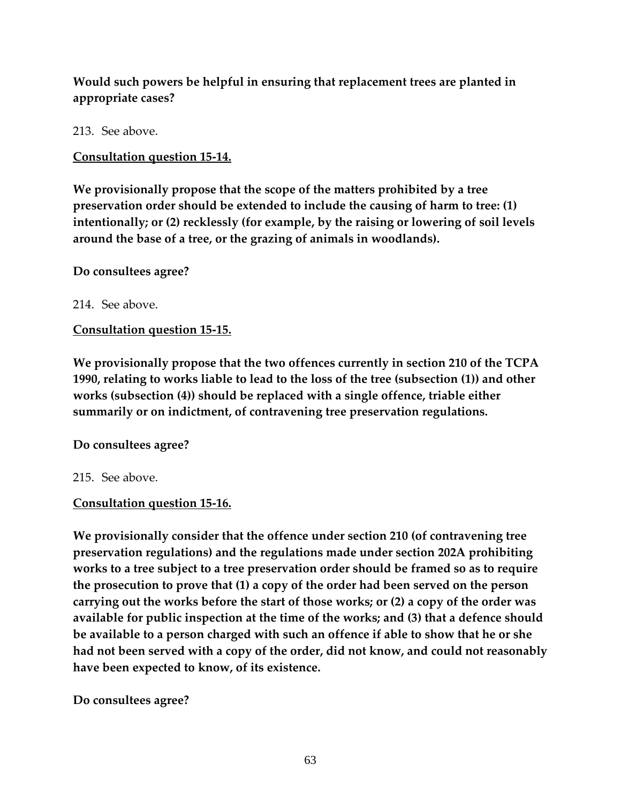# **Would such powers be helpful in ensuring that replacement trees are planted in appropriate cases?**

213. See above.

**Consultation question 15-14.** 

**We provisionally propose that the scope of the matters prohibited by a tree preservation order should be extended to include the causing of harm to tree: (1) intentionally; or (2) recklessly (for example, by the raising or lowering of soil levels around the base of a tree, or the grazing of animals in woodlands).** 

**Do consultees agree?** 

214. See above.

**Consultation question 15-15.** 

**We provisionally propose that the two offences currently in section 210 of the TCPA 1990, relating to works liable to lead to the loss of the tree (subsection (1)) and other works (subsection (4)) should be replaced with a single offence, triable either summarily or on indictment, of contravening tree preservation regulations.** 

### **Do consultees agree?**

215. See above.

### **Consultation question 15-16.**

**We provisionally consider that the offence under section 210 (of contravening tree preservation regulations) and the regulations made under section 202A prohibiting works to a tree subject to a tree preservation order should be framed so as to require the prosecution to prove that (1) a copy of the order had been served on the person carrying out the works before the start of those works; or (2) a copy of the order was available for public inspection at the time of the works; and (3) that a defence should be available to a person charged with such an offence if able to show that he or she had not been served with a copy of the order, did not know, and could not reasonably have been expected to know, of its existence.** 

**Do consultees agree?**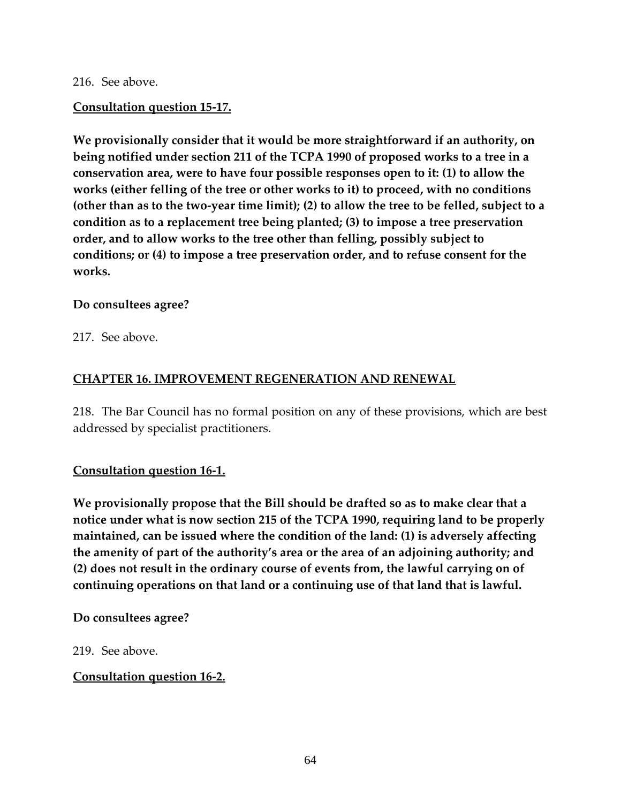#### 216. See above.

#### **Consultation question 15-17.**

**We provisionally consider that it would be more straightforward if an authority, on being notified under section 211 of the TCPA 1990 of proposed works to a tree in a conservation area, were to have four possible responses open to it: (1) to allow the works (either felling of the tree or other works to it) to proceed, with no conditions (other than as to the two-year time limit); (2) to allow the tree to be felled, subject to a condition as to a replacement tree being planted; (3) to impose a tree preservation order, and to allow works to the tree other than felling, possibly subject to conditions; or (4) to impose a tree preservation order, and to refuse consent for the works.** 

#### **Do consultees agree?**

217. See above.

### **CHAPTER 16. IMPROVEMENT REGENERATION AND RENEWAL**

218. The Bar Council has no formal position on any of these provisions, which are best addressed by specialist practitioners.

### **Consultation question 16-1.**

**We provisionally propose that the Bill should be drafted so as to make clear that a notice under what is now section 215 of the TCPA 1990, requiring land to be properly maintained, can be issued where the condition of the land: (1) is adversely affecting the amenity of part of the authority's area or the area of an adjoining authority; and (2) does not result in the ordinary course of events from, the lawful carrying on of continuing operations on that land or a continuing use of that land that is lawful.** 

#### **Do consultees agree?**

219. See above.

### **Consultation question 16-2.**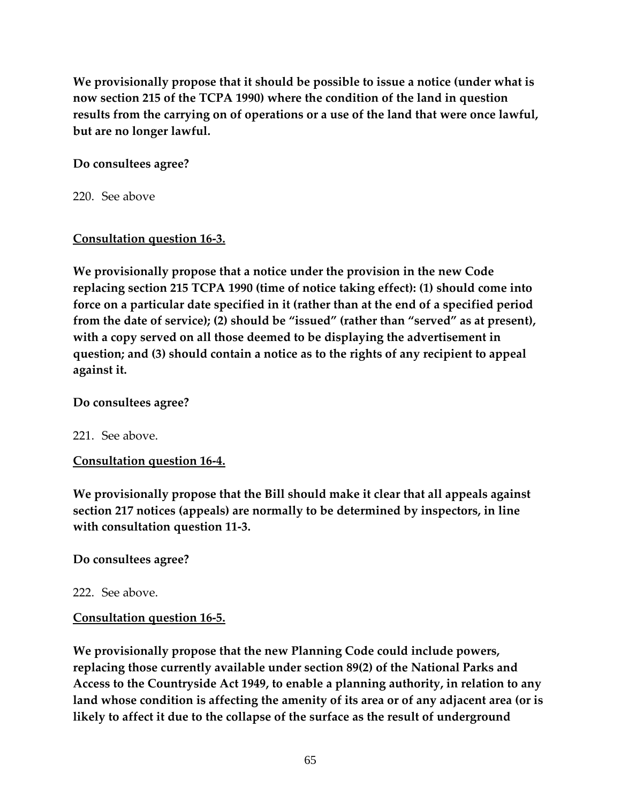**We provisionally propose that it should be possible to issue a notice (under what is now section 215 of the TCPA 1990) where the condition of the land in question results from the carrying on of operations or a use of the land that were once lawful, but are no longer lawful.** 

### **Do consultees agree?**

220. See above

## **Consultation question 16-3.**

**We provisionally propose that a notice under the provision in the new Code replacing section 215 TCPA 1990 (time of notice taking effect): (1) should come into force on a particular date specified in it (rather than at the end of a specified period from the date of service); (2) should be "issued" (rather than "served" as at present), with a copy served on all those deemed to be displaying the advertisement in question; and (3) should contain a notice as to the rights of any recipient to appeal against it.** 

### **Do consultees agree?**

221. See above.

# **Consultation question 16-4.**

**We provisionally propose that the Bill should make it clear that all appeals against section 217 notices (appeals) are normally to be determined by inspectors, in line with consultation question 11-3.** 

# **Do consultees agree?**

222. See above.

# **Consultation question 16-5.**

**We provisionally propose that the new Planning Code could include powers, replacing those currently available under section 89(2) of the National Parks and Access to the Countryside Act 1949, to enable a planning authority, in relation to any land whose condition is affecting the amenity of its area or of any adjacent area (or is likely to affect it due to the collapse of the surface as the result of underground**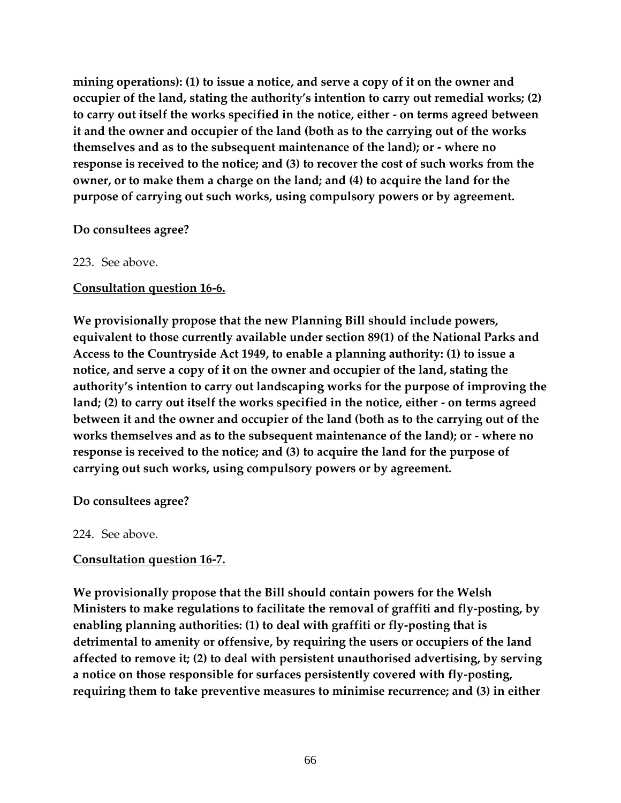**mining operations): (1) to issue a notice, and serve a copy of it on the owner and occupier of the land, stating the authority's intention to carry out remedial works; (2) to carry out itself the works specified in the notice, either - on terms agreed between it and the owner and occupier of the land (both as to the carrying out of the works themselves and as to the subsequent maintenance of the land); or - where no response is received to the notice; and (3) to recover the cost of such works from the owner, or to make them a charge on the land; and (4) to acquire the land for the purpose of carrying out such works, using compulsory powers or by agreement.** 

#### **Do consultees agree?**

#### 223. See above.

### **Consultation question 16-6.**

**We provisionally propose that the new Planning Bill should include powers, equivalent to those currently available under section 89(1) of the National Parks and Access to the Countryside Act 1949, to enable a planning authority: (1) to issue a notice, and serve a copy of it on the owner and occupier of the land, stating the authority's intention to carry out landscaping works for the purpose of improving the land; (2) to carry out itself the works specified in the notice, either - on terms agreed between it and the owner and occupier of the land (both as to the carrying out of the works themselves and as to the subsequent maintenance of the land); or - where no response is received to the notice; and (3) to acquire the land for the purpose of carrying out such works, using compulsory powers or by agreement.** 

**Do consultees agree?** 

224. See above.

# **Consultation question 16-7.**

**We provisionally propose that the Bill should contain powers for the Welsh Ministers to make regulations to facilitate the removal of graffiti and fly-posting, by enabling planning authorities: (1) to deal with graffiti or fly-posting that is detrimental to amenity or offensive, by requiring the users or occupiers of the land affected to remove it; (2) to deal with persistent unauthorised advertising, by serving a notice on those responsible for surfaces persistently covered with fly-posting, requiring them to take preventive measures to minimise recurrence; and (3) in either**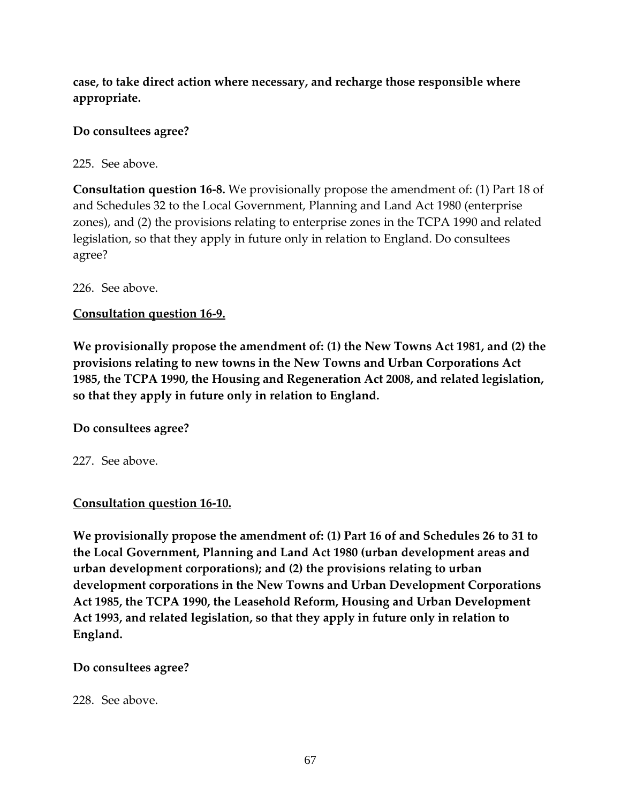**case, to take direct action where necessary, and recharge those responsible where appropriate.** 

## **Do consultees agree?**

225. See above.

**Consultation question 16-8.** We provisionally propose the amendment of: (1) Part 18 of and Schedules 32 to the Local Government, Planning and Land Act 1980 (enterprise zones), and (2) the provisions relating to enterprise zones in the TCPA 1990 and related legislation, so that they apply in future only in relation to England. Do consultees agree?

226. See above.

# **Consultation question 16-9.**

**We provisionally propose the amendment of: (1) the New Towns Act 1981, and (2) the provisions relating to new towns in the New Towns and Urban Corporations Act 1985, the TCPA 1990, the Housing and Regeneration Act 2008, and related legislation, so that they apply in future only in relation to England.** 

### **Do consultees agree?**

227. See above.

### **Consultation question 16-10.**

**We provisionally propose the amendment of: (1) Part 16 of and Schedules 26 to 31 to the Local Government, Planning and Land Act 1980 (urban development areas and urban development corporations); and (2) the provisions relating to urban development corporations in the New Towns and Urban Development Corporations Act 1985, the TCPA 1990, the Leasehold Reform, Housing and Urban Development Act 1993, and related legislation, so that they apply in future only in relation to England.** 

### **Do consultees agree?**

228. See above.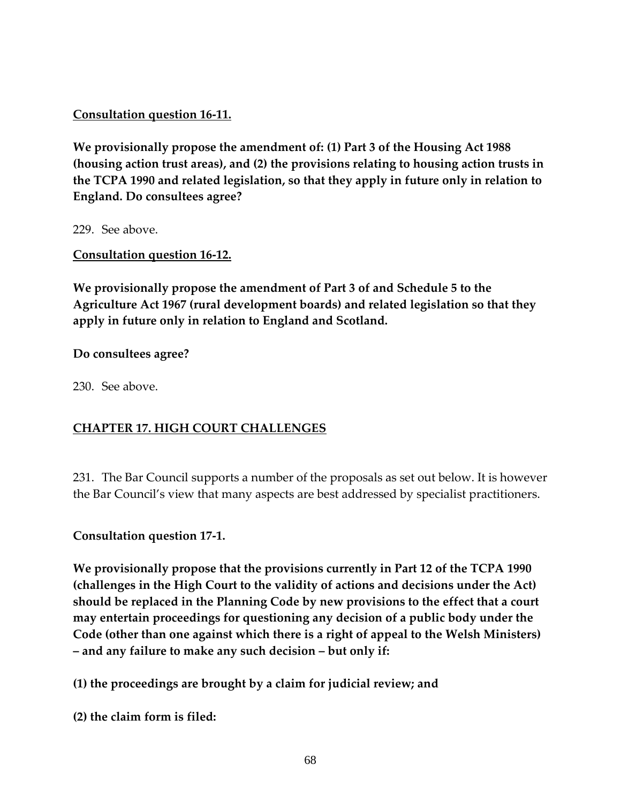**Consultation question 16-11.** 

**We provisionally propose the amendment of: (1) Part 3 of the Housing Act 1988 (housing action trust areas), and (2) the provisions relating to housing action trusts in the TCPA 1990 and related legislation, so that they apply in future only in relation to England. Do consultees agree?** 

229. See above.

**Consultation question 16-12.** 

**We provisionally propose the amendment of Part 3 of and Schedule 5 to the Agriculture Act 1967 (rural development boards) and related legislation so that they apply in future only in relation to England and Scotland.** 

### **Do consultees agree?**

230. See above.

# **CHAPTER 17. HIGH COURT CHALLENGES**

231. The Bar Council supports a number of the proposals as set out below. It is however the Bar Council's view that many aspects are best addressed by specialist practitioners.

**Consultation question 17-1.** 

**We provisionally propose that the provisions currently in Part 12 of the TCPA 1990 (challenges in the High Court to the validity of actions and decisions under the Act) should be replaced in the Planning Code by new provisions to the effect that a court may entertain proceedings for questioning any decision of a public body under the Code (other than one against which there is a right of appeal to the Welsh Ministers) – and any failure to make any such decision – but only if:** 

**(1) the proceedings are brought by a claim for judicial review; and** 

**(2) the claim form is filed:**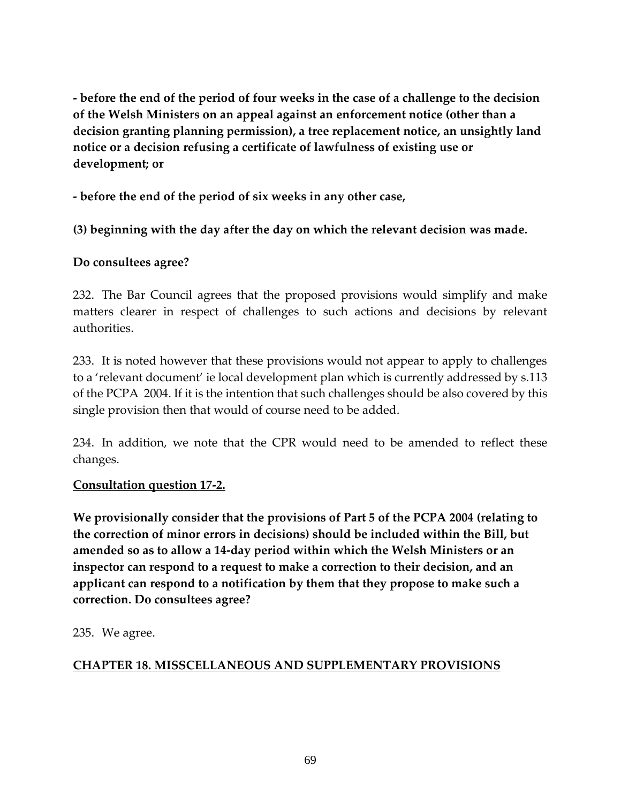**- before the end of the period of four weeks in the case of a challenge to the decision of the Welsh Ministers on an appeal against an enforcement notice (other than a decision granting planning permission), a tree replacement notice, an unsightly land notice or a decision refusing a certificate of lawfulness of existing use or development; or** 

**- before the end of the period of six weeks in any other case,** 

**(3) beginning with the day after the day on which the relevant decision was made.** 

## **Do consultees agree?**

232. The Bar Council agrees that the proposed provisions would simplify and make matters clearer in respect of challenges to such actions and decisions by relevant authorities.

233. It is noted however that these provisions would not appear to apply to challenges to a 'relevant document' ie local development plan which is currently addressed by s.113 of the PCPA 2004. If it is the intention that such challenges should be also covered by this single provision then that would of course need to be added.

234. In addition, we note that the CPR would need to be amended to reflect these changes.

### **Consultation question 17-2.**

**We provisionally consider that the provisions of Part 5 of the PCPA 2004 (relating to the correction of minor errors in decisions) should be included within the Bill, but amended so as to allow a 14-day period within which the Welsh Ministers or an inspector can respond to a request to make a correction to their decision, and an applicant can respond to a notification by them that they propose to make such a correction. Do consultees agree?** 

235. We agree.

# **CHAPTER 18. MISSCELLANEOUS AND SUPPLEMENTARY PROVISIONS**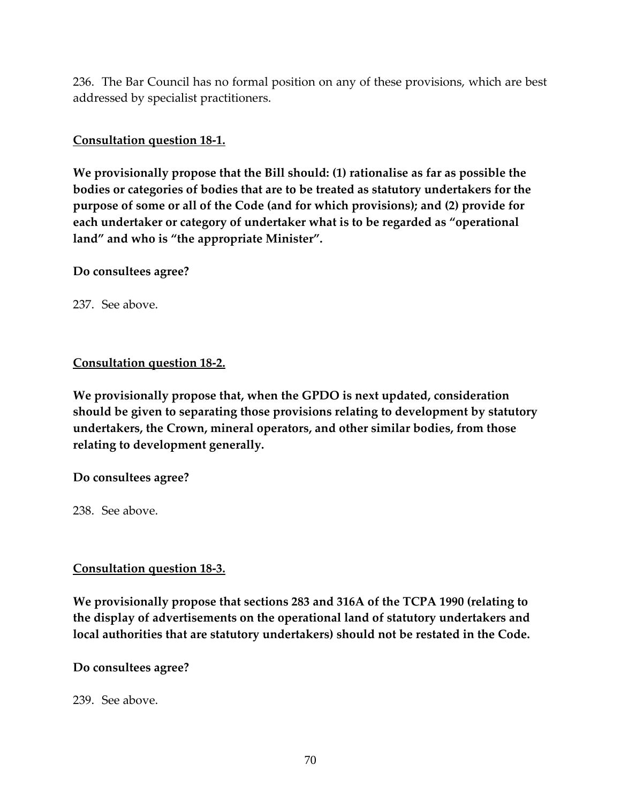236. The Bar Council has no formal position on any of these provisions, which are best addressed by specialist practitioners.

### **Consultation question 18-1.**

**We provisionally propose that the Bill should: (1) rationalise as far as possible the bodies or categories of bodies that are to be treated as statutory undertakers for the purpose of some or all of the Code (and for which provisions); and (2) provide for each undertaker or category of undertaker what is to be regarded as "operational land" and who is "the appropriate Minister".** 

### **Do consultees agree?**

237. See above.

### **Consultation question 18-2.**

**We provisionally propose that, when the GPDO is next updated, consideration should be given to separating those provisions relating to development by statutory undertakers, the Crown, mineral operators, and other similar bodies, from those relating to development generally.** 

### **Do consultees agree?**

238. See above.

### **Consultation question 18-3.**

**We provisionally propose that sections 283 and 316A of the TCPA 1990 (relating to the display of advertisements on the operational land of statutory undertakers and local authorities that are statutory undertakers) should not be restated in the Code.** 

### **Do consultees agree?**

239. See above.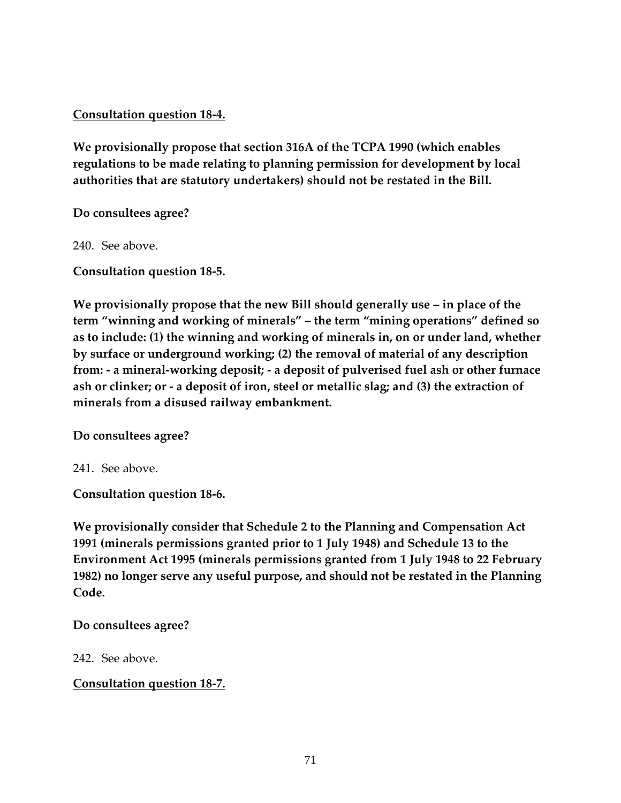### **Consultation question 18-4.**

**We provisionally propose that section 316A of the TCPA 1990 (which enables regulations to be made relating to planning permission for development by local authorities that are statutory undertakers) should not be restated in the Bill.** 

**Do consultees agree?** 

240. See above.

**Consultation question 18-5.** 

**We provisionally propose that the new Bill should generally use – in place of the term "winning and working of minerals" – the term "mining operations" defined so as to include: (1) the winning and working of minerals in, on or under land, whether by surface or underground working; (2) the removal of material of any description from: - a mineral-working deposit; - a deposit of pulverised fuel ash or other furnace ash or clinker; or - a deposit of iron, steel or metallic slag; and (3) the extraction of minerals from a disused railway embankment.** 

**Do consultees agree?** 

241. See above.

**Consultation question 18-6.** 

**We provisionally consider that Schedule 2 to the Planning and Compensation Act 1991 (minerals permissions granted prior to 1 July 1948) and Schedule 13 to the Environment Act 1995 (minerals permissions granted from 1 July 1948 to 22 February 1982) no longer serve any useful purpose, and should not be restated in the Planning Code.** 

### **Do consultees agree?**

242. See above.

**Consultation question 18-7.**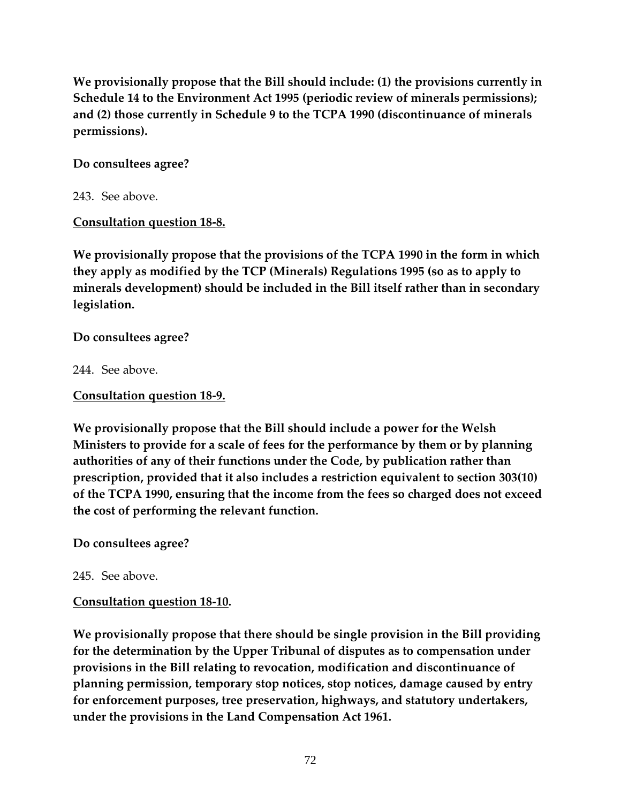**We provisionally propose that the Bill should include: (1) the provisions currently in Schedule 14 to the Environment Act 1995 (periodic review of minerals permissions); and (2) those currently in Schedule 9 to the TCPA 1990 (discontinuance of minerals permissions).** 

### **Do consultees agree?**

243. See above.

# **Consultation question 18-8.**

**We provisionally propose that the provisions of the TCPA 1990 in the form in which they apply as modified by the TCP (Minerals) Regulations 1995 (so as to apply to minerals development) should be included in the Bill itself rather than in secondary legislation.** 

**Do consultees agree?** 

244. See above.

## **Consultation question 18-9.**

**We provisionally propose that the Bill should include a power for the Welsh Ministers to provide for a scale of fees for the performance by them or by planning authorities of any of their functions under the Code, by publication rather than prescription, provided that it also includes a restriction equivalent to section 303(10) of the TCPA 1990, ensuring that the income from the fees so charged does not exceed the cost of performing the relevant function.** 

**Do consultees agree?** 

245. See above.

# **Consultation question 18-10.**

**We provisionally propose that there should be single provision in the Bill providing for the determination by the Upper Tribunal of disputes as to compensation under provisions in the Bill relating to revocation, modification and discontinuance of planning permission, temporary stop notices, stop notices, damage caused by entry for enforcement purposes, tree preservation, highways, and statutory undertakers, under the provisions in the Land Compensation Act 1961.**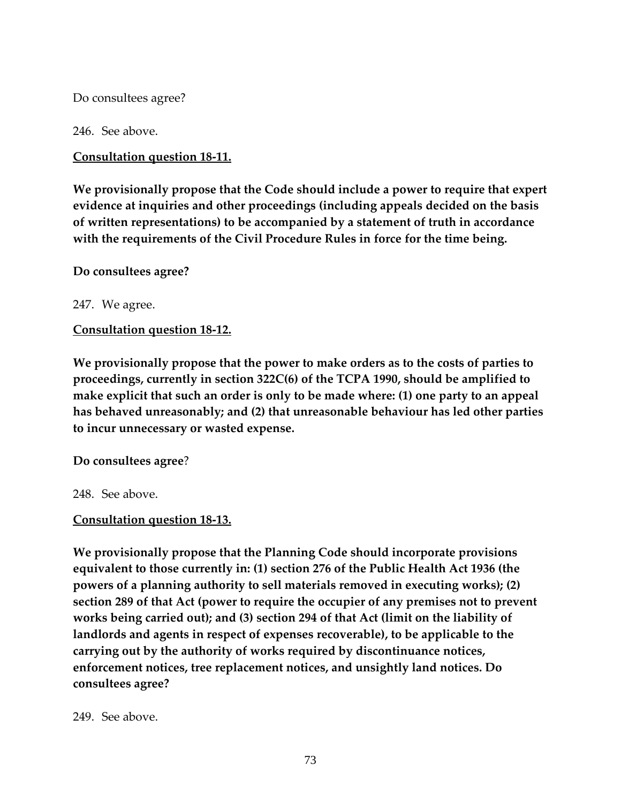Do consultees agree?

246. See above.

**Consultation question 18-11.** 

**We provisionally propose that the Code should include a power to require that expert evidence at inquiries and other proceedings (including appeals decided on the basis of written representations) to be accompanied by a statement of truth in accordance with the requirements of the Civil Procedure Rules in force for the time being.** 

**Do consultees agree?** 

247. We agree.

**Consultation question 18-12.** 

**We provisionally propose that the power to make orders as to the costs of parties to proceedings, currently in section 322C(6) of the TCPA 1990, should be amplified to make explicit that such an order is only to be made where: (1) one party to an appeal has behaved unreasonably; and (2) that unreasonable behaviour has led other parties to incur unnecessary or wasted expense.** 

**Do consultees agree**?

248. See above.

## **Consultation question 18-13.**

**We provisionally propose that the Planning Code should incorporate provisions equivalent to those currently in: (1) section 276 of the Public Health Act 1936 (the powers of a planning authority to sell materials removed in executing works); (2) section 289 of that Act (power to require the occupier of any premises not to prevent works being carried out); and (3) section 294 of that Act (limit on the liability of landlords and agents in respect of expenses recoverable), to be applicable to the carrying out by the authority of works required by discontinuance notices, enforcement notices, tree replacement notices, and unsightly land notices. Do consultees agree?** 

249. See above.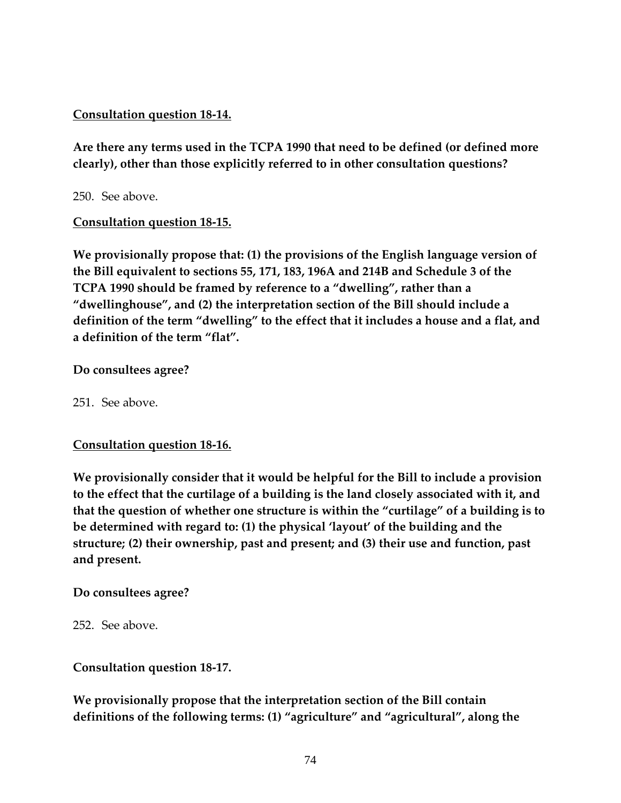# **Consultation question 18-14.**

**Are there any terms used in the TCPA 1990 that need to be defined (or defined more clearly), other than those explicitly referred to in other consultation questions?** 

250. See above.

## **Consultation question 18-15.**

**We provisionally propose that: (1) the provisions of the English language version of the Bill equivalent to sections 55, 171, 183, 196A and 214B and Schedule 3 of the TCPA 1990 should be framed by reference to a "dwelling", rather than a "dwellinghouse", and (2) the interpretation section of the Bill should include a definition of the term "dwelling" to the effect that it includes a house and a flat, and a definition of the term "flat".** 

## **Do consultees agree?**

251. See above.

## **Consultation question 18-16.**

**We provisionally consider that it would be helpful for the Bill to include a provision to the effect that the curtilage of a building is the land closely associated with it, and that the question of whether one structure is within the "curtilage" of a building is to be determined with regard to: (1) the physical 'layout' of the building and the structure; (2) their ownership, past and present; and (3) their use and function, past and present.** 

## **Do consultees agree?**

252. See above.

**Consultation question 18-17.** 

**We provisionally propose that the interpretation section of the Bill contain definitions of the following terms: (1) "agriculture" and "agricultural", along the**